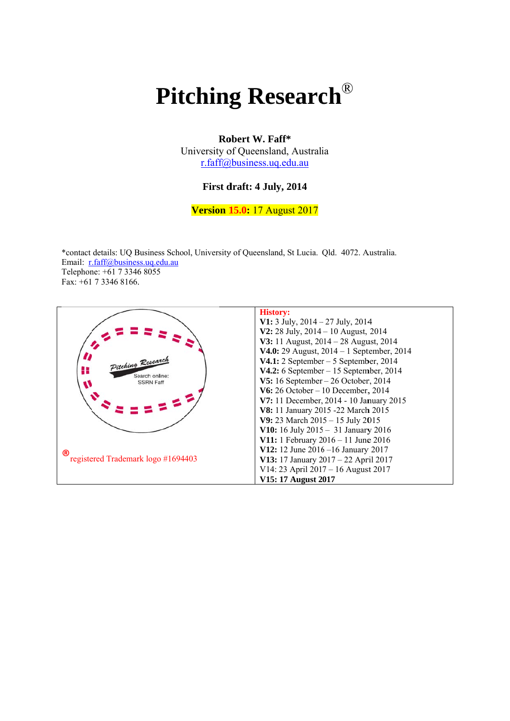# **Pitching Research<sup>®</sup>**

#### **Ro obert W. Fa aff\***

University of Queensland, Australia <u>r.faff@business.uq.edu.au</u>

#### **First d draft: 4 Jul y, 2014**

**Version 15.0:** 17 August 2017

\*contact details: UQ Business School, University of Queensland, St Lucia. Qld. 4072. Australia. Email: r.faff@business.uq.edu.au Telephone: +61 7 3346 8055 Fax: +61 7 3346 8166.

| Fax: $+61$ 7 3346 8166.                                     |                                                      |  |  |
|-------------------------------------------------------------|------------------------------------------------------|--|--|
|                                                             |                                                      |  |  |
|                                                             | <b>History:</b>                                      |  |  |
|                                                             | V1: 3 July, $2014 - 27$ July, $2014$                 |  |  |
| Pitching Research<br>Ħ<br>Search online<br><b>SSRN Faff</b> | <b>V2:</b> 28 July, $2014 - 10$ August, $2014$       |  |  |
|                                                             | V3: 11 August, 2014 - 28 August, 2014                |  |  |
|                                                             | <b>V4.0:</b> 29 August, $2014 - 1$ September, $2014$ |  |  |
|                                                             | V4.1: 2 September $-5$ September, 2014               |  |  |
|                                                             | V4.2: 6 September $-15$ September, 2014              |  |  |
|                                                             | V5: 16 September $-26$ October, 2014                 |  |  |
|                                                             | V6: 26 October $-10$ December, 2014                  |  |  |
|                                                             | V7: 11 December, 2014 - 10 January 2015              |  |  |
|                                                             | V8: 11 January 2015 -22 March 2015                   |  |  |
|                                                             | V9: 23 March $2015 - 15$ July 2015                   |  |  |
|                                                             | <b>V10:</b> 16 July 2015 - 31 January 2016           |  |  |
| ®<br>registered Trademark logo #1694403                     | V11: 1 February $2016 - 11$ June $2016$              |  |  |
|                                                             | V12: 12 June 2016 -16 January 2017                   |  |  |
|                                                             | V13: 17 January 2017 - 22 April 2017                 |  |  |
|                                                             | V14: 23 April 2017 – 16 August 2017                  |  |  |
|                                                             | V15: 17 August 2017                                  |  |  |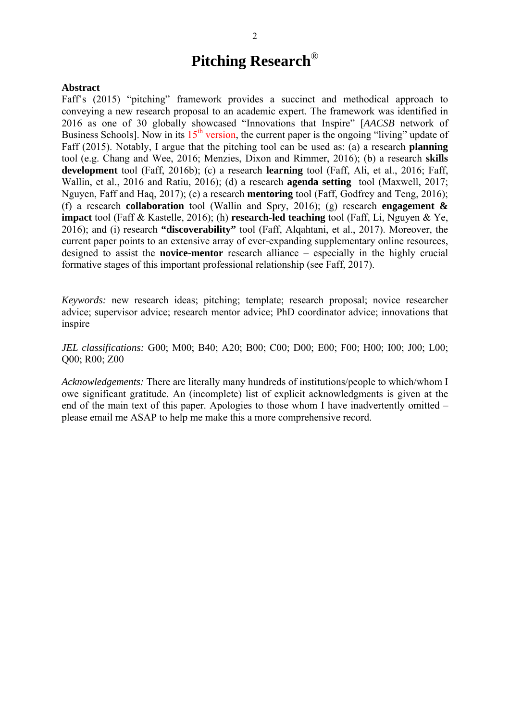# **Pitching Research**®

#### **Abstract**

Faff's (2015) "pitching" framework provides a succinct and methodical approach to conveying a new research proposal to an academic expert. The framework was identified in 2016 as one of 30 globally showcased "Innovations that Inspire" [*AACSB* network of Business Schools]. Now in its  $15<sup>th</sup>$  version, the current paper is the ongoing "living" update of Faff (2015). Notably, I argue that the pitching tool can be used as: (a) a research **planning** tool (e.g. Chang and Wee, 2016; Menzies, Dixon and Rimmer, 2016); (b) a research **skills development** tool (Faff, 2016b); (c) a research **learning** tool (Faff, Ali, et al., 2016; Faff, Wallin, et al., 2016 and Ratiu, 2016); (d) a research **agenda setting** tool (Maxwell, 2017; Nguyen, Faff and Haq, 2017); (e) a research **mentoring** tool (Faff, Godfrey and Teng, 2016); (f) a research **collaboration** tool (Wallin and Spry, 2016); (g) research **engagement & impact** tool (Faff & Kastelle, 2016); (h) **research-led teaching** tool (Faff, Li, Nguyen & Ye, 2016); and (i) research **"discoverability"** tool (Faff, Alqahtani, et al., 2017). Moreover, the current paper points to an extensive array of ever-expanding supplementary online resources, designed to assist the **novice-mentor** research alliance – especially in the highly crucial formative stages of this important professional relationship (see Faff, 2017).

*Keywords:* new research ideas; pitching; template; research proposal; novice researcher advice; supervisor advice; research mentor advice; PhD coordinator advice; innovations that inspire

*JEL classifications:* G00; M00; B40; A20; B00; C00; D00; E00; F00; H00; I00; J00; L00; Q00; R00; Z00

*Acknowledgements:* There are literally many hundreds of institutions/people to which/whom I owe significant gratitude. An (incomplete) list of explicit acknowledgments is given at the end of the main text of this paper. Apologies to those whom I have inadvertently omitted – please email me ASAP to help me make this a more comprehensive record.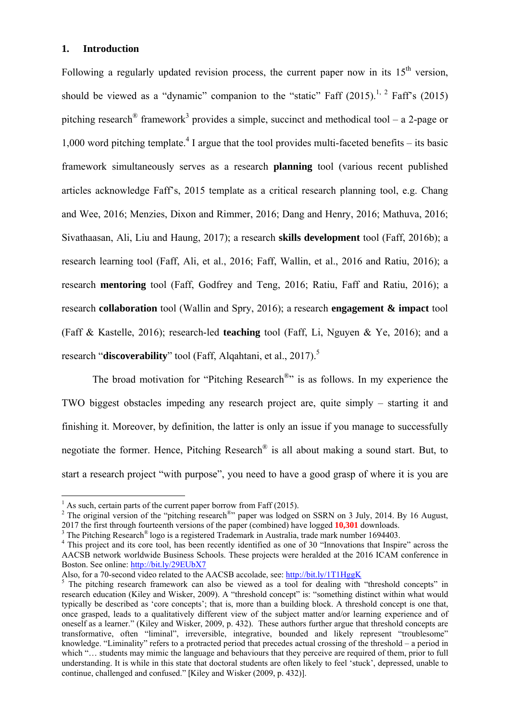#### **1. Introduction**

Following a regularly updated revision process, the current paper now in its  $15<sup>th</sup>$  version, should be viewed as a "dynamic" companion to the "static" Faff  $(2015)^{1, 2}$  Faff's  $(2015)$ pitching research<sup>®</sup> framework<sup>3</sup> provides a simple, succinct and methodical tool – a 2-page or 1,000 word pitching template.<sup>4</sup> I argue that the tool provides multi-faceted benefits – its basic framework simultaneously serves as a research **planning** tool (various recent published articles acknowledge Faff's, 2015 template as a critical research planning tool, e.g. Chang and Wee, 2016; Menzies, Dixon and Rimmer, 2016; Dang and Henry, 2016; Mathuva, 2016; Sivathaasan, Ali, Liu and Haung, 2017); a research **skills development** tool (Faff, 2016b); a research learning tool (Faff, Ali, et al., 2016; Faff, Wallin, et al., 2016 and Ratiu, 2016); a research **mentoring** tool (Faff, Godfrey and Teng, 2016; Ratiu, Faff and Ratiu, 2016); a research **collaboration** tool (Wallin and Spry, 2016); a research **engagement & impact** tool (Faff & Kastelle, 2016); research-led **teaching** tool (Faff, Li, Nguyen & Ye, 2016); and a research "**discoverability**" tool (Faff, Algahtani, et al., 2017).<sup>5</sup>

The broad motivation for "Pitching Research<sup>®</sup>" is as follows. In my experience the TWO biggest obstacles impeding any research project are, quite simply – starting it and finishing it. Moreover, by definition, the latter is only an issue if you manage to successfully negotiate the former. Hence, Pitching Research® is all about making a sound start. But, to start a research project "with purpose", you need to have a good grasp of where it is you are

<sup>3</sup> The Pitching Research<sup>®</sup> logo is a registered Trademark in Australia, trade mark number 1694403.

<sup>&</sup>lt;sup>1</sup> As such, certain parts of the current paper borrow from Faff (2015).

<sup>&</sup>lt;sup>2</sup> The original version of the "pitching research<sup>®</sup>" paper was lodged on SSRN on 3 July, 2014. By 16 August, 2017 the first through fourteenth versions of the paper (combined) have logged **10,301** downloads. 3

<sup>&</sup>lt;sup>4</sup> This project and its core tool, has been recently identified as one of 30 "Innovations that Inspire" across the AACSB network worldwide Business Schools. These projects were heralded at the 2016 ICAM conference in Boston. See online: http://bit.ly/29EUbX7

Also, for a 70-second video related to the AACSB accolade, see: http://bit.ly/1T1HggK

 $5$  The pitching research framework can also be viewed as a tool for dealing with "threshold concepts" in research education (Kiley and Wisker, 2009). A "threshold concept" is: "something distinct within what would typically be described as 'core concepts'; that is, more than a building block. A threshold concept is one that, once grasped, leads to a qualitatively different view of the subject matter and/or learning experience and of oneself as a learner." (Kiley and Wisker, 2009, p. 432). These authors further argue that threshold concepts are transformative, often "liminal", irreversible, integrative, bounded and likely represent "troublesome" knowledge. "Liminality" refers to a protracted period that precedes actual crossing of the threshold – a period in which "... students may mimic the language and behaviours that they perceive are required of them, prior to full understanding. It is while in this state that doctoral students are often likely to feel 'stuck', depressed, unable to continue, challenged and confused." [Kiley and Wisker (2009, p. 432)].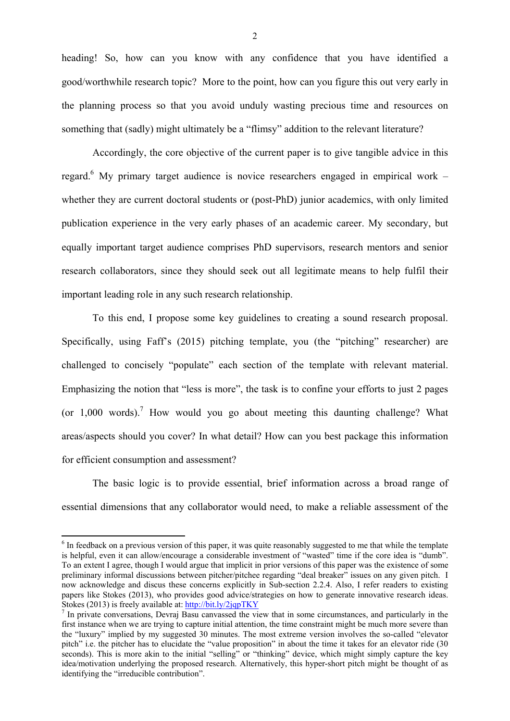heading! So, how can you know with any confidence that you have identified a good/worthwhile research topic? More to the point, how can you figure this out very early in the planning process so that you avoid unduly wasting precious time and resources on something that (sadly) might ultimately be a "flimsy" addition to the relevant literature?

Accordingly, the core objective of the current paper is to give tangible advice in this regard.<sup>6</sup> My primary target audience is novice researchers engaged in empirical work – whether they are current doctoral students or (post-PhD) junior academics, with only limited publication experience in the very early phases of an academic career. My secondary, but equally important target audience comprises PhD supervisors, research mentors and senior research collaborators, since they should seek out all legitimate means to help fulfil their important leading role in any such research relationship.

To this end, I propose some key guidelines to creating a sound research proposal. Specifically, using Faff's (2015) pitching template, you (the "pitching" researcher) are challenged to concisely "populate" each section of the template with relevant material. Emphasizing the notion that "less is more", the task is to confine your efforts to just 2 pages (or  $1,000$  words).<sup>7</sup> How would you go about meeting this daunting challenge? What areas/aspects should you cover? In what detail? How can you best package this information for efficient consumption and assessment?

The basic logic is to provide essential, brief information across a broad range of essential dimensions that any collaborator would need, to make a reliable assessment of the

 $<sup>6</sup>$  In feedback on a previous version of this paper, it was quite reasonably suggested to me that while the template</sup> is helpful, even it can allow/encourage a considerable investment of "wasted" time if the core idea is "dumb". To an extent I agree, though I would argue that implicit in prior versions of this paper was the existence of some preliminary informal discussions between pitcher/pitchee regarding "deal breaker" issues on any given pitch. I now acknowledge and discus these concerns explicitly in Sub-section 2.2.4. Also, I refer readers to existing papers like Stokes (2013), who provides good advice/strategies on how to generate innovative research ideas. Stokes (2013) is freely available at: http://bit.ly/2jqpTKY

<sup>&</sup>lt;sup>7</sup> In private conversations, Devraj Basu canvassed the view that in some circumstances, and particularly in the first instance when we are trying to capture initial attention, the time constraint might be much more severe than the "luxury" implied by my suggested 30 minutes. The most extreme version involves the so-called "elevator pitch" i.e. the pitcher has to elucidate the "value proposition" in about the time it takes for an elevator ride (30 seconds). This is more akin to the initial "selling" or "thinking" device, which might simply capture the key idea/motivation underlying the proposed research. Alternatively, this hyper-short pitch might be thought of as identifying the "irreducible contribution".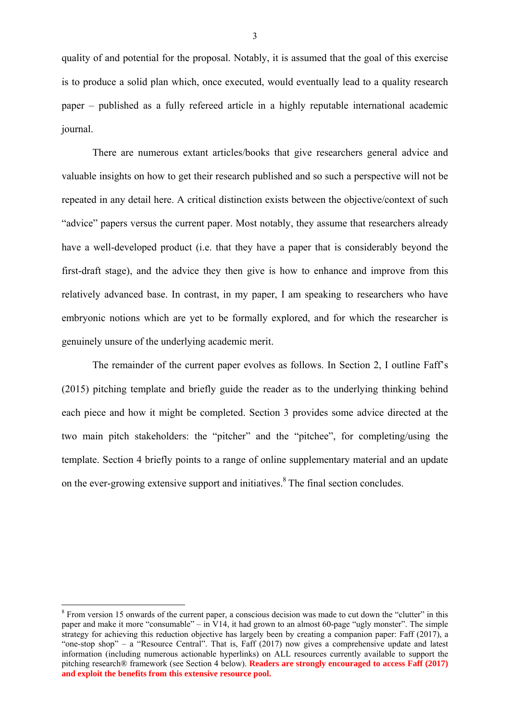quality of and potential for the proposal. Notably, it is assumed that the goal of this exercise is to produce a solid plan which, once executed, would eventually lead to a quality research paper – published as a fully refereed article in a highly reputable international academic journal.

 There are numerous extant articles/books that give researchers general advice and valuable insights on how to get their research published and so such a perspective will not be repeated in any detail here. A critical distinction exists between the objective/context of such "advice" papers versus the current paper. Most notably, they assume that researchers already have a well-developed product (i.e. that they have a paper that is considerably beyond the first-draft stage), and the advice they then give is how to enhance and improve from this relatively advanced base. In contrast, in my paper, I am speaking to researchers who have embryonic notions which are yet to be formally explored, and for which the researcher is genuinely unsure of the underlying academic merit.

The remainder of the current paper evolves as follows. In Section 2, I outline Faff's (2015) pitching template and briefly guide the reader as to the underlying thinking behind each piece and how it might be completed. Section 3 provides some advice directed at the two main pitch stakeholders: the "pitcher" and the "pitchee", for completing/using the template. Section 4 briefly points to a range of online supplementary material and an update on the ever-growing extensive support and initiatives.<sup>8</sup> The final section concludes.

<sup>&</sup>lt;sup>8</sup> From version 15 onwards of the current paper, a conscious decision was made to cut down the "clutter" in this paper and make it more "consumable" – in V14, it had grown to an almost 60-page "ugly monster". The simple strategy for achieving this reduction objective has largely been by creating a companion paper: Faff (2017), a "one-stop shop" – a "Resource Central". That is, Faff (2017) now gives a comprehensive update and latest information (including numerous actionable hyperlinks) on ALL resources currently available to support the pitching research® framework (see Section 4 below). **Readers are strongly encouraged to access Faff (2017) and exploit the benefits from this extensive resource pool.**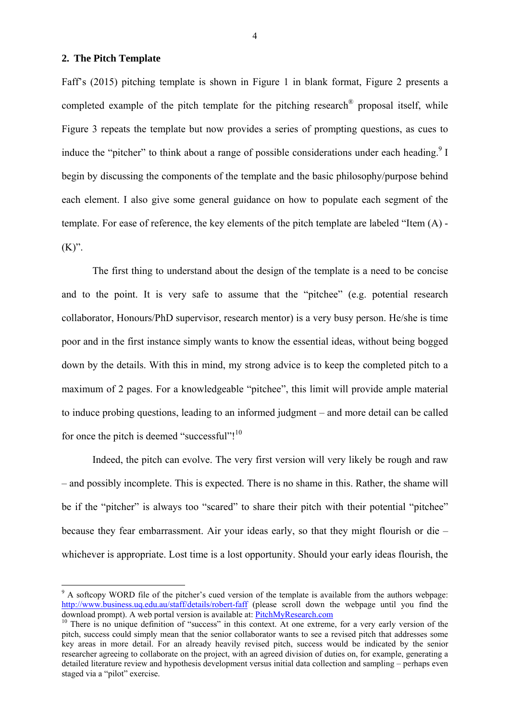#### **2. The Pitch Template**

Faff's (2015) pitching template is shown in Figure 1 in blank format, Figure 2 presents a completed example of the pitch template for the pitching research<sup>®</sup> proposal itself, while Figure 3 repeats the template but now provides a series of prompting questions, as cues to induce the "pitcher" to think about a range of possible considerations under each heading.  $\frac{9}{1}$  I begin by discussing the components of the template and the basic philosophy/purpose behind each element. I also give some general guidance on how to populate each segment of the template. For ease of reference, the key elements of the pitch template are labeled "Item (A) -  $(K)$ ".

 The first thing to understand about the design of the template is a need to be concise and to the point. It is very safe to assume that the "pitchee" (e.g. potential research collaborator, Honours/PhD supervisor, research mentor) is a very busy person. He/she is time poor and in the first instance simply wants to know the essential ideas, without being bogged down by the details. With this in mind, my strong advice is to keep the completed pitch to a maximum of 2 pages. For a knowledgeable "pitchee", this limit will provide ample material to induce probing questions, leading to an informed judgment – and more detail can be called for once the pitch is deemed "successful"!<sup>10</sup>

Indeed, the pitch can evolve. The very first version will very likely be rough and raw – and possibly incomplete. This is expected. There is no shame in this. Rather, the shame will be if the "pitcher" is always too "scared" to share their pitch with their potential "pitchee" because they fear embarrassment. Air your ideas early, so that they might flourish or die – whichever is appropriate. Lost time is a lost opportunity. Should your early ideas flourish, the

<sup>&</sup>lt;sup>9</sup> A softcopy WORD file of the pitcher's cued version of the template is available from the authors webpage: http://www.business.uq.edu.au/staff/details/robert-faff (please scroll down the webpage until you find the download prompt). A web portal version is available at: PitchMyResearch.com

<sup>&</sup>lt;sup>10</sup> There is no unique definition of "success" in this context. At one extreme, for a very early version of the pitch, success could simply mean that the senior collaborator wants to see a revised pitch that addresses some key areas in more detail. For an already heavily revised pitch, success would be indicated by the senior researcher agreeing to collaborate on the project, with an agreed division of duties on, for example, generating a detailed literature review and hypothesis development versus initial data collection and sampling – perhaps even staged via a "pilot" exercise.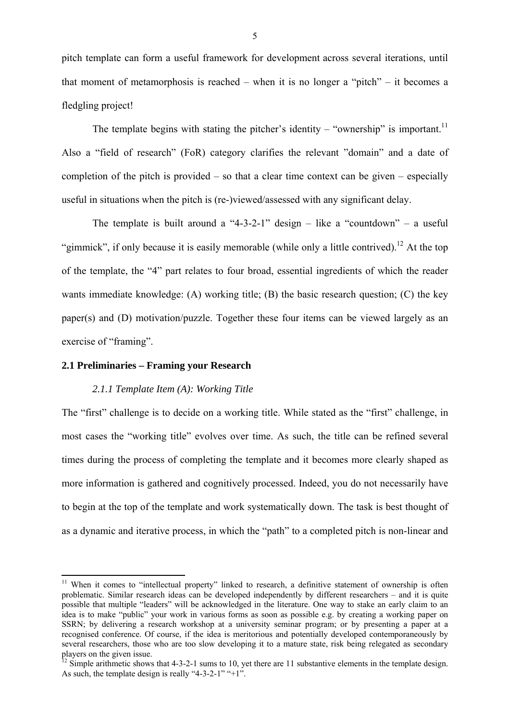pitch template can form a useful framework for development across several iterations, until that moment of metamorphosis is reached – when it is no longer a "pitch" – it becomes a fledgling project!

The template begins with stating the pitcher's identity – "ownership" is important.<sup>11</sup> Also a "field of research" (FoR) category clarifies the relevant "domain" and a date of completion of the pitch is provided – so that a clear time context can be given – especially useful in situations when the pitch is (re-)viewed/assessed with any significant delay.

The template is built around a "4-3-2-1" design – like a "countdown" – a useful "gimmick", if only because it is easily memorable (while only a little contrived).<sup>12</sup> At the top of the template, the "4" part relates to four broad, essential ingredients of which the reader wants immediate knowledge: (A) working title; (B) the basic research question; (C) the key paper(s) and (D) motivation/puzzle. Together these four items can be viewed largely as an exercise of "framing".

#### **2.1 Preliminaries – Framing your Research**

#### *2.1.1 Template Item (A): Working Title*

The "first" challenge is to decide on a working title. While stated as the "first" challenge, in most cases the "working title" evolves over time. As such, the title can be refined several times during the process of completing the template and it becomes more clearly shaped as more information is gathered and cognitively processed. Indeed, you do not necessarily have to begin at the top of the template and work systematically down. The task is best thought of as a dynamic and iterative process, in which the "path" to a completed pitch is non-linear and

<sup>&</sup>lt;sup>11</sup> When it comes to "intellectual property" linked to research, a definitive statement of ownership is often problematic. Similar research ideas can be developed independently by different researchers – and it is quite possible that multiple "leaders" will be acknowledged in the literature. One way to stake an early claim to an idea is to make "public" your work in various forms as soon as possible e.g. by creating a working paper on SSRN; by delivering a research workshop at a university seminar program; or by presenting a paper at a recognised conference. Of course, if the idea is meritorious and potentially developed contemporaneously by several researchers, those who are too slow developing it to a mature state, risk being relegated as secondary players on the given issue.

<sup>&</sup>lt;sup>12</sup> Simple arithmetic shows that 4-3-2-1 sums to 10, yet there are 11 substantive elements in the template design. As such, the template design is really "4-3-2-1" "+1".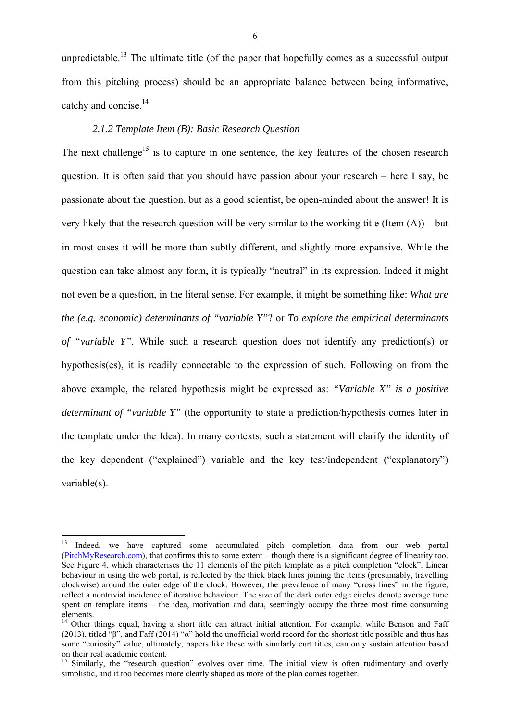unpredictable.<sup>13</sup> The ultimate title (of the paper that hopefully comes as a successful output from this pitching process) should be an appropriate balance between being informative, catchy and concise.14

### *2.1.2 Template Item (B): Basic Research Question*

The next challenge<sup>15</sup> is to capture in one sentence, the key features of the chosen research question. It is often said that you should have passion about your research – here I say, be passionate about the question, but as a good scientist, be open-minded about the answer! It is very likely that the research question will be very similar to the working title (Item  $(A)$ ) – but in most cases it will be more than subtly different, and slightly more expansive. While the question can take almost any form, it is typically "neutral" in its expression. Indeed it might not even be a question, in the literal sense. For example, it might be something like: *What are the (e.g. economic) determinants of "variable Y"*? or *To explore the empirical determinants of "variable Y"*. While such a research question does not identify any prediction(s) or hypothesis(es), it is readily connectable to the expression of such. Following on from the above example, the related hypothesis might be expressed as: *"Variable X" is a positive determinant of "variable Y"* (the opportunity to state a prediction/hypothesis comes later in the template under the Idea). In many contexts, such a statement will clarify the identity of the key dependent ("explained") variable and the key test/independent ("explanatory") variable(s).

<sup>13</sup> Indeed, we have captured some accumulated pitch completion data from our web portal (PitchMyResearch.com), that confirms this to some extent – though there is a significant degree of linearity too. See Figure 4, which characterises the 11 elements of the pitch template as a pitch completion "clock". Linear behaviour in using the web portal, is reflected by the thick black lines joining the items (presumably, travelling clockwise) around the outer edge of the clock. However, the prevalence of many "cross lines" in the figure, reflect a nontrivial incidence of iterative behaviour. The size of the dark outer edge circles denote average time spent on template items – the idea, motivation and data, seemingly occupy the three most time consuming elements.

<sup>&</sup>lt;sup>14</sup> Other things equal, having a short title can attract initial attention. For example, while Benson and Faff (2013), titled "β", and Faff (2014) " $\alpha$ " hold the unofficial world record for the shortest title possible and thus has some "curiosity" value, ultimately, papers like these with similarly curt titles, can only sustain attention based on their real academic content.

<sup>&</sup>lt;sup>15</sup> Similarly, the "research question" evolves over time. The initial view is often rudimentary and overly simplistic, and it too becomes more clearly shaped as more of the plan comes together.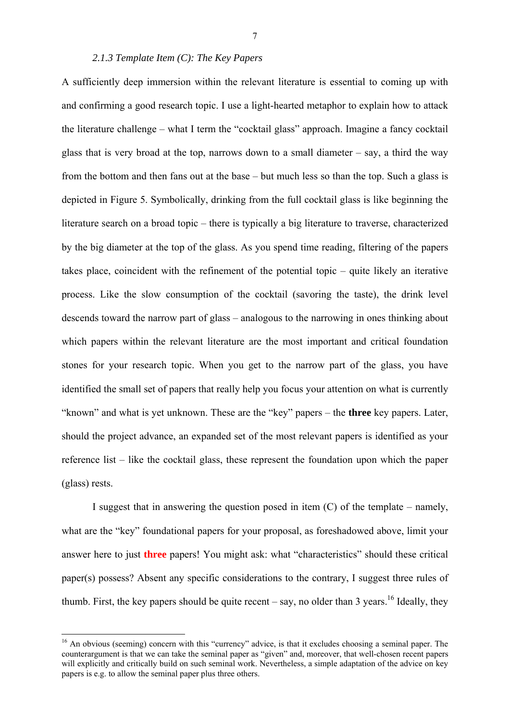### *2.1.3 Template Item (C): The Key Papers*

A sufficiently deep immersion within the relevant literature is essential to coming up with and confirming a good research topic. I use a light-hearted metaphor to explain how to attack the literature challenge – what I term the "cocktail glass" approach. Imagine a fancy cocktail glass that is very broad at the top, narrows down to a small diameter  $-$  say, a third the way from the bottom and then fans out at the base – but much less so than the top. Such a glass is depicted in Figure 5. Symbolically, drinking from the full cocktail glass is like beginning the literature search on a broad topic – there is typically a big literature to traverse, characterized by the big diameter at the top of the glass. As you spend time reading, filtering of the papers takes place, coincident with the refinement of the potential topic – quite likely an iterative process. Like the slow consumption of the cocktail (savoring the taste), the drink level descends toward the narrow part of glass – analogous to the narrowing in ones thinking about which papers within the relevant literature are the most important and critical foundation stones for your research topic. When you get to the narrow part of the glass, you have identified the small set of papers that really help you focus your attention on what is currently "known" and what is yet unknown. These are the "key" papers – the **three** key papers. Later, should the project advance, an expanded set of the most relevant papers is identified as your reference list – like the cocktail glass, these represent the foundation upon which the paper (glass) rests.

I suggest that in answering the question posed in item  $(C)$  of the template – namely, what are the "key" foundational papers for your proposal, as foreshadowed above, limit your answer here to just **three** papers! You might ask: what "characteristics" should these critical paper(s) possess? Absent any specific considerations to the contrary, I suggest three rules of thumb. First, the key papers should be quite recent – say, no older than 3 years.<sup>16</sup> Ideally, they

<sup>&</sup>lt;sup>16</sup> An obvious (seeming) concern with this "currency" advice, is that it excludes choosing a seminal paper. The counterargument is that we can take the seminal paper as "given" and, moreover, that well-chosen recent papers will explicitly and critically build on such seminal work. Nevertheless, a simple adaptation of the advice on key papers is e.g. to allow the seminal paper plus three others.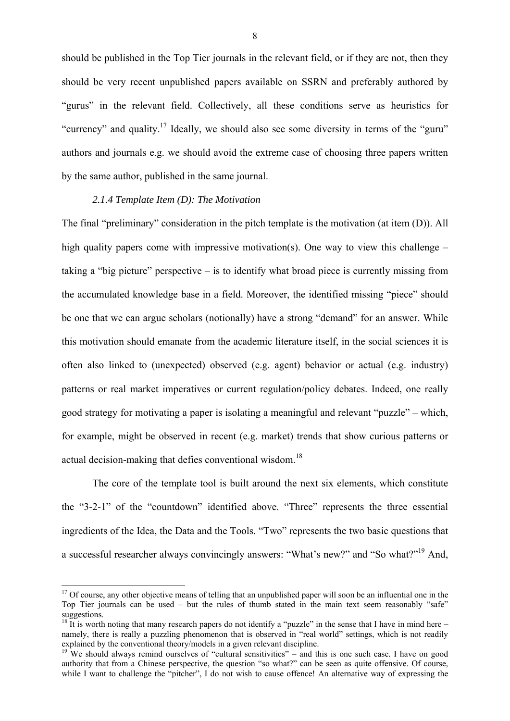should be published in the Top Tier journals in the relevant field, or if they are not, then they should be very recent unpublished papers available on SSRN and preferably authored by "gurus" in the relevant field. Collectively, all these conditions serve as heuristics for "currency" and quality.<sup>17</sup> Ideally, we should also see some diversity in terms of the "guru" authors and journals e.g. we should avoid the extreme case of choosing three papers written by the same author, published in the same journal.

#### *2.1.4 Template Item (D): The Motivation*

The final "preliminary" consideration in the pitch template is the motivation (at item (D)). All high quality papers come with impressive motivation(s). One way to view this challenge – taking a "big picture" perspective – is to identify what broad piece is currently missing from the accumulated knowledge base in a field. Moreover, the identified missing "piece" should be one that we can argue scholars (notionally) have a strong "demand" for an answer. While this motivation should emanate from the academic literature itself, in the social sciences it is often also linked to (unexpected) observed (e.g. agent) behavior or actual (e.g. industry) patterns or real market imperatives or current regulation/policy debates. Indeed, one really good strategy for motivating a paper is isolating a meaningful and relevant "puzzle" – which, for example, might be observed in recent (e.g. market) trends that show curious patterns or actual decision-making that defies conventional wisdom.<sup>18</sup>

The core of the template tool is built around the next six elements, which constitute the "3-2-1" of the "countdown" identified above. "Three" represents the three essential ingredients of the Idea, the Data and the Tools. "Two" represents the two basic questions that a successful researcher always convincingly answers: "What's new?" and "So what?"19 And,

<sup>&</sup>lt;sup>17</sup> Of course, any other objective means of telling that an unpublished paper will soon be an influential one in the Top Tier journals can be used – but the rules of thumb stated in the main text seem reasonably "safe" suggestions.

<sup>&</sup>lt;sup>18</sup> It is worth noting that many research papers do not identify a "puzzle" in the sense that I have in mind here – namely, there is really a puzzling phenomenon that is observed in "real world" settings, which is not readily explained by the conventional theory/models in a given relevant discipline.

<sup>&</sup>lt;sup>19</sup> We should always remind ourselves of "cultural sensitivities" – and this is one such case. I have on good authority that from a Chinese perspective, the question "so what?" can be seen as quite offensive. Of course, while I want to challenge the "pitcher", I do not wish to cause offence! An alternative way of expressing the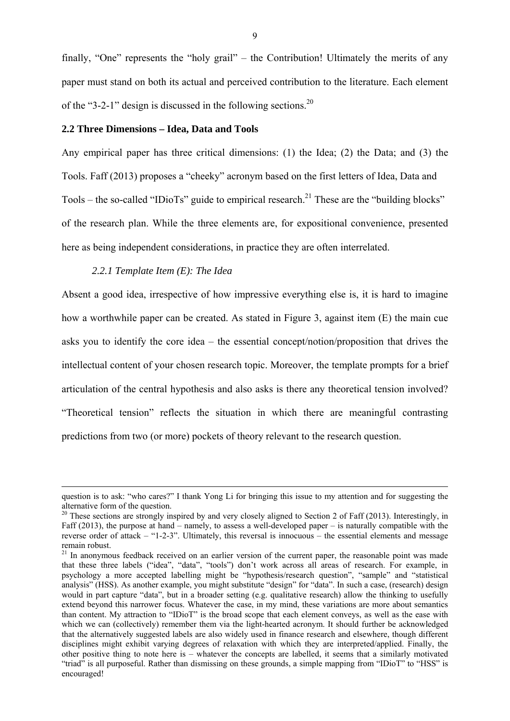finally, "One" represents the "holy grail" – the Contribution! Ultimately the merits of any paper must stand on both its actual and perceived contribution to the literature. Each element of the "3-2-1" design is discussed in the following sections.<sup>20</sup>

#### **2.2 Three Dimensions – Idea, Data and Tools**

Any empirical paper has three critical dimensions: (1) the Idea; (2) the Data; and (3) the Tools. Faff (2013) proposes a "cheeky" acronym based on the first letters of Idea, Data and Tools – the so-called "IDioTs" guide to empirical research.<sup>21</sup> These are the "building blocks" of the research plan. While the three elements are, for expositional convenience, presented here as being independent considerations, in practice they are often interrelated.

### *2.2.1 Template Item (E): The Idea*

Absent a good idea, irrespective of how impressive everything else is, it is hard to imagine how a worthwhile paper can be created. As stated in Figure 3, against item (E) the main cue asks you to identify the core idea – the essential concept/notion/proposition that drives the intellectual content of your chosen research topic. Moreover, the template prompts for a brief articulation of the central hypothesis and also asks is there any theoretical tension involved? "Theoretical tension" reflects the situation in which there are meaningful contrasting predictions from two (or more) pockets of theory relevant to the research question.

<sup>&</sup>lt;u> 1989 - Johann Barn, amerikansk politiker (d. 1989)</u> question is to ask: "who cares?" I thank Yong Li for bringing this issue to my attention and for suggesting the alternative form of the question.

 $20$  These sections are strongly inspired by and very closely aligned to Section 2 of Faff (2013). Interestingly, in Faff (2013), the purpose at hand – namely, to assess a well-developed paper – is naturally compatible with the reverse order of attack – "1-2-3". Ultimately, this reversal is innocuous – the essential elements and message remain robust.

<sup>&</sup>lt;sup>21</sup> In anonymous feedback received on an earlier version of the current paper, the reasonable point was made that these three labels ("idea", "data", "tools") don't work across all areas of research. For example, in psychology a more accepted labelling might be "hypothesis/research question", "sample" and "statistical analysis" (HSS). As another example, you might substitute "design" for "data". In such a case, (research) design would in part capture "data", but in a broader setting (e.g. qualitative research) allow the thinking to usefully extend beyond this narrower focus. Whatever the case, in my mind, these variations are more about semantics than content. My attraction to "IDioT" is the broad scope that each element conveys, as well as the ease with which we can (collectively) remember them via the light-hearted acronym. It should further be acknowledged that the alternatively suggested labels are also widely used in finance research and elsewhere, though different disciplines might exhibit varying degrees of relaxation with which they are interpreted/applied. Finally, the other positive thing to note here is – whatever the concepts are labelled, it seems that a similarly motivated "triad" is all purposeful. Rather than dismissing on these grounds, a simple mapping from "IDioT" to "HSS" is encouraged!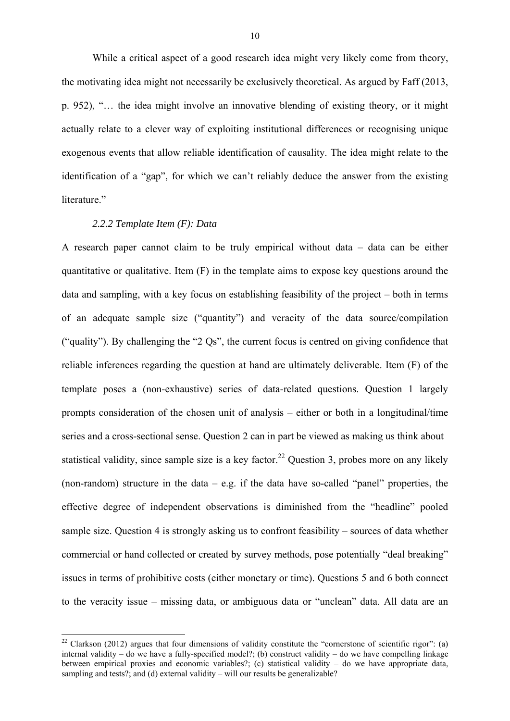While a critical aspect of a good research idea might very likely come from theory, the motivating idea might not necessarily be exclusively theoretical. As argued by Faff (2013, p. 952), "… the idea might involve an innovative blending of existing theory, or it might actually relate to a clever way of exploiting institutional differences or recognising unique exogenous events that allow reliable identification of causality. The idea might relate to the identification of a "gap", for which we can't reliably deduce the answer from the existing literature."

#### *2.2.2 Template Item (F): Data*

A research paper cannot claim to be truly empirical without data – data can be either quantitative or qualitative. Item (F) in the template aims to expose key questions around the data and sampling, with a key focus on establishing feasibility of the project – both in terms of an adequate sample size ("quantity") and veracity of the data source/compilation ("quality"). By challenging the "2 Qs", the current focus is centred on giving confidence that reliable inferences regarding the question at hand are ultimately deliverable. Item (F) of the template poses a (non-exhaustive) series of data-related questions. Question 1 largely prompts consideration of the chosen unit of analysis – either or both in a longitudinal/time series and a cross-sectional sense. Question 2 can in part be viewed as making us think about statistical validity, since sample size is a key factor.<sup>22</sup> Ouestion 3, probes more on any likely (non-random) structure in the data – e.g. if the data have so-called "panel" properties, the effective degree of independent observations is diminished from the "headline" pooled sample size. Question 4 is strongly asking us to confront feasibility – sources of data whether commercial or hand collected or created by survey methods, pose potentially "deal breaking" issues in terms of prohibitive costs (either monetary or time). Questions 5 and 6 both connect to the veracity issue – missing data, or ambiguous data or "unclean" data. All data are an

<sup>&</sup>lt;sup>22</sup> Clarkson (2012) argues that four dimensions of validity constitute the "cornerstone of scientific rigor": (a) internal validity – do we have a fully-specified model?; (b) construct validity – do we have compelling linkage between empirical proxies and economic variables?; (c) statistical validity – do we have appropriate data, sampling and tests?; and (d) external validity – will our results be generalizable?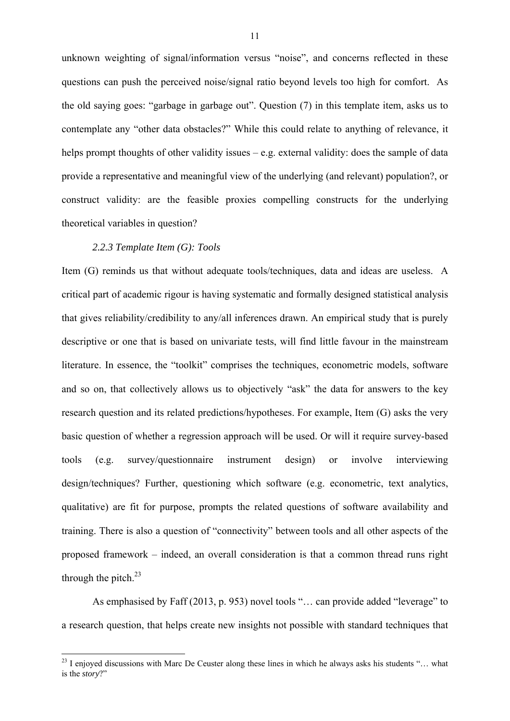unknown weighting of signal/information versus "noise", and concerns reflected in these questions can push the perceived noise/signal ratio beyond levels too high for comfort. As the old saying goes: "garbage in garbage out". Question (7) in this template item, asks us to contemplate any "other data obstacles?" While this could relate to anything of relevance, it helps prompt thoughts of other validity issues – e.g. external validity: does the sample of data provide a representative and meaningful view of the underlying (and relevant) population?, or construct validity: are the feasible proxies compelling constructs for the underlying theoretical variables in question?

#### *2.2.3 Template Item (G): Tools*

Item (G) reminds us that without adequate tools/techniques, data and ideas are useless. A critical part of academic rigour is having systematic and formally designed statistical analysis that gives reliability/credibility to any/all inferences drawn. An empirical study that is purely descriptive or one that is based on univariate tests, will find little favour in the mainstream literature. In essence, the "toolkit" comprises the techniques, econometric models, software and so on, that collectively allows us to objectively "ask" the data for answers to the key research question and its related predictions/hypotheses. For example, Item (G) asks the very basic question of whether a regression approach will be used. Or will it require survey-based tools (e.g. survey/questionnaire instrument design) or involve interviewing design/techniques? Further, questioning which software (e.g. econometric, text analytics, qualitative) are fit for purpose, prompts the related questions of software availability and training. There is also a question of "connectivity" between tools and all other aspects of the proposed framework – indeed, an overall consideration is that a common thread runs right through the pitch. $^{23}$ 

As emphasised by Faff (2013, p. 953) novel tools "… can provide added "leverage" to a research question, that helps create new insights not possible with standard techniques that

 $^{23}$  I enjoyed discussions with Marc De Ceuster along these lines in which he always asks his students "... what is the *story*?"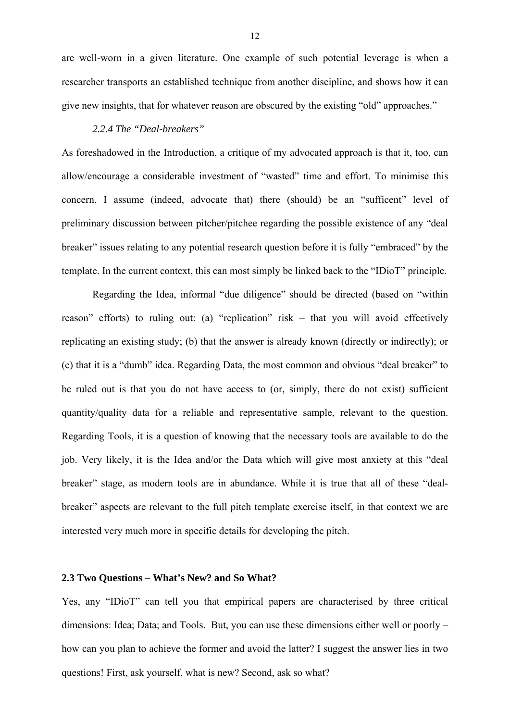are well-worn in a given literature. One example of such potential leverage is when a researcher transports an established technique from another discipline, and shows how it can give new insights, that for whatever reason are obscured by the existing "old" approaches."

#### *2.2.4 The "Deal-breakers"*

As foreshadowed in the Introduction, a critique of my advocated approach is that it, too, can allow/encourage a considerable investment of "wasted" time and effort. To minimise this concern, I assume (indeed, advocate that) there (should) be an "sufficent" level of preliminary discussion between pitcher/pitchee regarding the possible existence of any "deal breaker" issues relating to any potential research question before it is fully "embraced" by the template. In the current context, this can most simply be linked back to the "IDioT" principle.

Regarding the Idea, informal "due diligence" should be directed (based on "within reason" efforts) to ruling out: (a) "replication" risk – that you will avoid effectively replicating an existing study; (b) that the answer is already known (directly or indirectly); or (c) that it is a "dumb" idea. Regarding Data, the most common and obvious "deal breaker" to be ruled out is that you do not have access to (or, simply, there do not exist) sufficient quantity/quality data for a reliable and representative sample, relevant to the question. Regarding Tools, it is a question of knowing that the necessary tools are available to do the job. Very likely, it is the Idea and/or the Data which will give most anxiety at this "deal breaker" stage, as modern tools are in abundance. While it is true that all of these "dealbreaker" aspects are relevant to the full pitch template exercise itself, in that context we are interested very much more in specific details for developing the pitch.

### **2.3 Two Questions – What's New? and So What?**

Yes, any "IDioT" can tell you that empirical papers are characterised by three critical dimensions: Idea; Data; and Tools. But, you can use these dimensions either well or poorly – how can you plan to achieve the former and avoid the latter? I suggest the answer lies in two questions! First, ask yourself, what is new? Second, ask so what?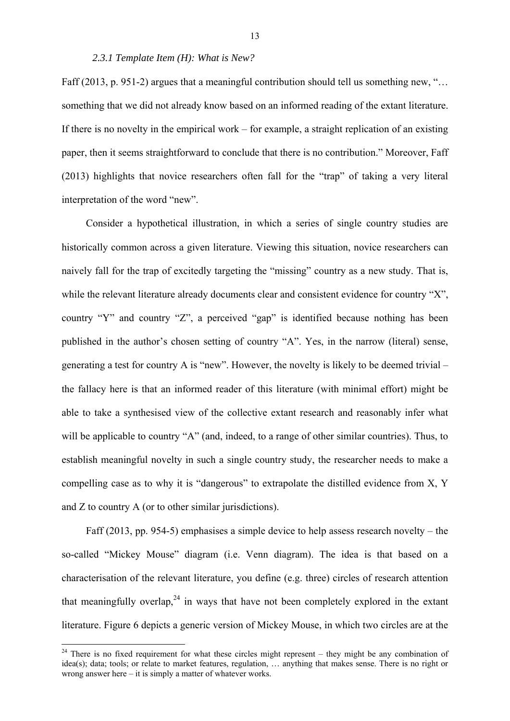#### *2.3.1 Template Item (H): What is New?*

Faff (2013, p. 951-2) argues that a meaningful contribution should tell us something new, "... something that we did not already know based on an informed reading of the extant literature. If there is no novelty in the empirical work – for example, a straight replication of an existing paper, then it seems straightforward to conclude that there is no contribution." Moreover, Faff (2013) highlights that novice researchers often fall for the "trap" of taking a very literal interpretation of the word "new".

Consider a hypothetical illustration, in which a series of single country studies are historically common across a given literature. Viewing this situation, novice researchers can naively fall for the trap of excitedly targeting the "missing" country as a new study. That is, while the relevant literature already documents clear and consistent evidence for country "X", country "Y" and country "Z", a perceived "gap" is identified because nothing has been published in the author's chosen setting of country "A". Yes, in the narrow (literal) sense, generating a test for country A is "new". However, the novelty is likely to be deemed trivial – the fallacy here is that an informed reader of this literature (with minimal effort) might be able to take a synthesised view of the collective extant research and reasonably infer what will be applicable to country "A" (and, indeed, to a range of other similar countries). Thus, to establish meaningful novelty in such a single country study, the researcher needs to make a compelling case as to why it is "dangerous" to extrapolate the distilled evidence from X, Y and Z to country A (or to other similar jurisdictions).

Faff (2013, pp. 954-5) emphasises a simple device to help assess research novelty – the so-called "Mickey Mouse" diagram (i.e. Venn diagram). The idea is that based on a characterisation of the relevant literature, you define (e.g. three) circles of research attention that meaningfully overlap,  $24$  in ways that have not been completely explored in the extant literature. Figure 6 depicts a generic version of Mickey Mouse, in which two circles are at the

<sup>&</sup>lt;sup>24</sup> There is no fixed requirement for what these circles might represent – they might be any combination of idea(s); data; tools; or relate to market features, regulation, … anything that makes sense. There is no right or wrong answer here – it is simply a matter of whatever works.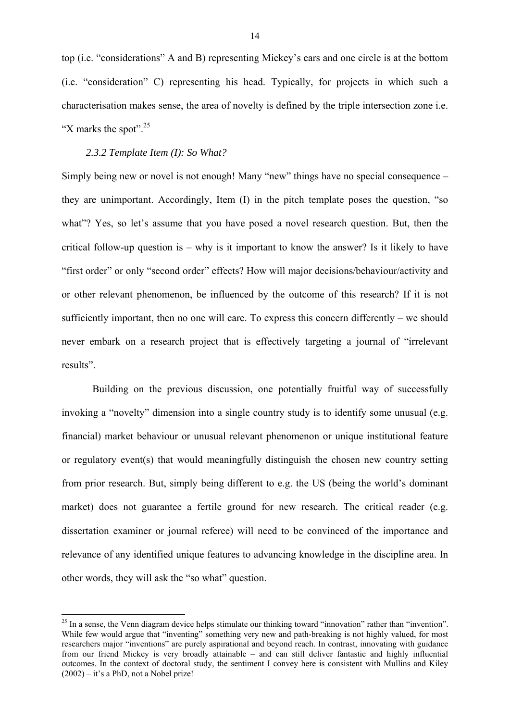top (i.e. "considerations" A and B) representing Mickey's ears and one circle is at the bottom (i.e. "consideration" C) representing his head. Typically, for projects in which such a characterisation makes sense, the area of novelty is defined by the triple intersection zone i.e. "X marks the spot".25

#### *2.3.2 Template Item (I): So What?*

Simply being new or novel is not enough! Many "new" things have no special consequence – they are unimportant. Accordingly, Item (I) in the pitch template poses the question, "so what"? Yes, so let's assume that you have posed a novel research question. But, then the critical follow-up question is – why is it important to know the answer? Is it likely to have "first order" or only "second order" effects? How will major decisions/behaviour/activity and or other relevant phenomenon, be influenced by the outcome of this research? If it is not sufficiently important, then no one will care. To express this concern differently – we should never embark on a research project that is effectively targeting a journal of "irrelevant results".

Building on the previous discussion, one potentially fruitful way of successfully invoking a "novelty" dimension into a single country study is to identify some unusual (e.g. financial) market behaviour or unusual relevant phenomenon or unique institutional feature or regulatory event(s) that would meaningfully distinguish the chosen new country setting from prior research. But, simply being different to e.g. the US (being the world's dominant market) does not guarantee a fertile ground for new research. The critical reader (e.g. dissertation examiner or journal referee) will need to be convinced of the importance and relevance of any identified unique features to advancing knowledge in the discipline area. In other words, they will ask the "so what" question.

 $^{25}$  In a sense, the Venn diagram device helps stimulate our thinking toward "innovation" rather than "invention". While few would argue that "inventing" something very new and path-breaking is not highly valued, for most researchers major "inventions" are purely aspirational and beyond reach. In contrast, innovating with guidance from our friend Mickey is very broadly attainable – and can still deliver fantastic and highly influential outcomes. In the context of doctoral study, the sentiment I convey here is consistent with Mullins and Kiley (2002) – it's a PhD, not a Nobel prize!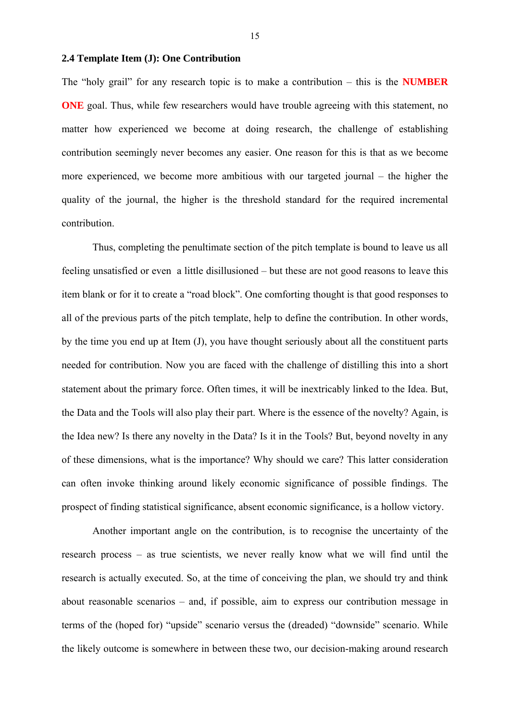#### **2.4 Template Item (J): One Contribution**

The "holy grail" for any research topic is to make a contribution – this is the **NUMBER ONE** goal. Thus, while few researchers would have trouble agreeing with this statement, no matter how experienced we become at doing research, the challenge of establishing contribution seemingly never becomes any easier. One reason for this is that as we become more experienced, we become more ambitious with our targeted journal – the higher the quality of the journal, the higher is the threshold standard for the required incremental contribution.

Thus, completing the penultimate section of the pitch template is bound to leave us all feeling unsatisfied or even a little disillusioned – but these are not good reasons to leave this item blank or for it to create a "road block". One comforting thought is that good responses to all of the previous parts of the pitch template, help to define the contribution. In other words, by the time you end up at Item (J), you have thought seriously about all the constituent parts needed for contribution. Now you are faced with the challenge of distilling this into a short statement about the primary force. Often times, it will be inextricably linked to the Idea. But, the Data and the Tools will also play their part. Where is the essence of the novelty? Again, is the Idea new? Is there any novelty in the Data? Is it in the Tools? But, beyond novelty in any of these dimensions, what is the importance? Why should we care? This latter consideration can often invoke thinking around likely economic significance of possible findings. The prospect of finding statistical significance, absent economic significance, is a hollow victory.

Another important angle on the contribution, is to recognise the uncertainty of the research process – as true scientists, we never really know what we will find until the research is actually executed. So, at the time of conceiving the plan, we should try and think about reasonable scenarios – and, if possible, aim to express our contribution message in terms of the (hoped for) "upside" scenario versus the (dreaded) "downside" scenario. While the likely outcome is somewhere in between these two, our decision-making around research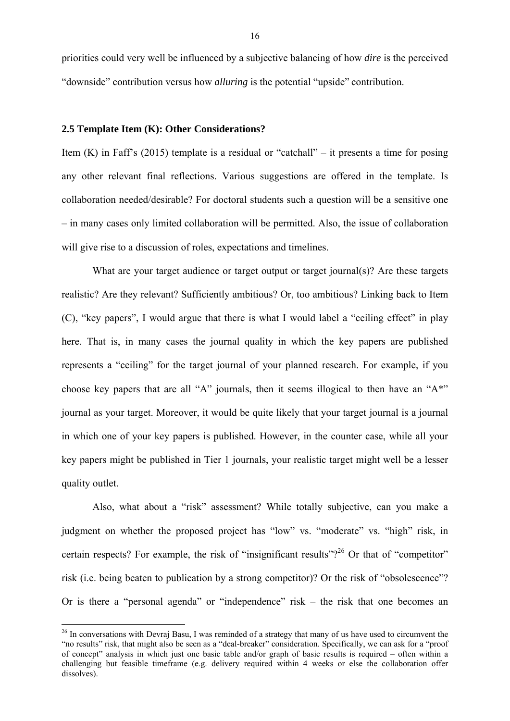priorities could very well be influenced by a subjective balancing of how *dire* is the perceived "downside" contribution versus how *alluring* is the potential "upside" contribution.

#### **2.5 Template Item (K): Other Considerations?**

Item  $(K)$  in Faff's (2015) template is a residual or "catchall" – it presents a time for posing any other relevant final reflections. Various suggestions are offered in the template. Is collaboration needed/desirable? For doctoral students such a question will be a sensitive one – in many cases only limited collaboration will be permitted. Also, the issue of collaboration will give rise to a discussion of roles, expectations and timelines.

What are your target audience or target output or target journal(s)? Are these targets realistic? Are they relevant? Sufficiently ambitious? Or, too ambitious? Linking back to Item (C), "key papers", I would argue that there is what I would label a "ceiling effect" in play here. That is, in many cases the journal quality in which the key papers are published represents a "ceiling" for the target journal of your planned research. For example, if you choose key papers that are all "A" journals, then it seems illogical to then have an "A\*" journal as your target. Moreover, it would be quite likely that your target journal is a journal in which one of your key papers is published. However, in the counter case, while all your key papers might be published in Tier 1 journals, your realistic target might well be a lesser quality outlet.

Also, what about a "risk" assessment? While totally subjective, can you make a judgment on whether the proposed project has "low" vs. "moderate" vs. "high" risk, in certain respects? For example, the risk of "insignificant results"?<sup>26</sup> Or that of "competitor" risk (i.e. being beaten to publication by a strong competitor)? Or the risk of "obsolescence"? Or is there a "personal agenda" or "independence" risk – the risk that one becomes an

<sup>&</sup>lt;sup>26</sup> In conversations with Devraj Basu, I was reminded of a strategy that many of us have used to circumvent the "no results" risk, that might also be seen as a "deal-breaker" consideration. Specifically, we can ask for a "proof of concept" analysis in which just one basic table and/or graph of basic results is required – often within a challenging but feasible timeframe (e.g. delivery required within 4 weeks or else the collaboration offer dissolves).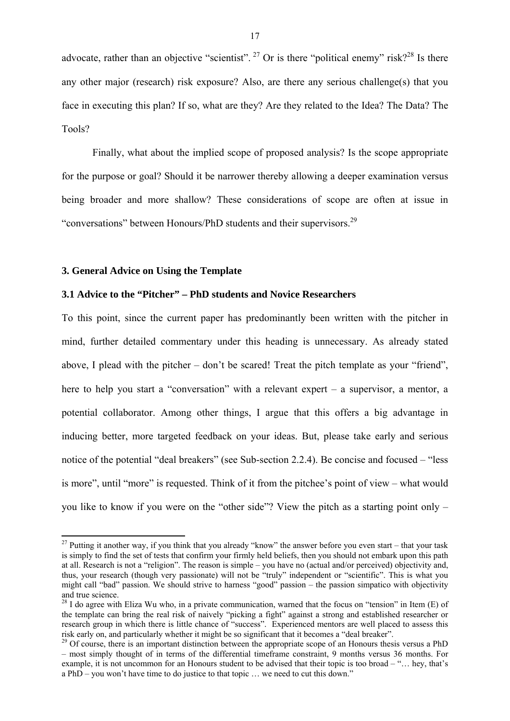advocate, rather than an objective "scientist".  $27$  Or is there "political enemy" risk? $28$  Is there any other major (research) risk exposure? Also, are there any serious challenge(s) that you face in executing this plan? If so, what are they? Are they related to the Idea? The Data? The Tools?

Finally, what about the implied scope of proposed analysis? Is the scope appropriate for the purpose or goal? Should it be narrower thereby allowing a deeper examination versus being broader and more shallow? These considerations of scope are often at issue in "conversations" between Honours/PhD students and their supervisors.<sup>29</sup>

#### **3. General Advice on Using the Template**

#### **3.1 Advice to the "Pitcher" – PhD students and Novice Researchers**

To this point, since the current paper has predominantly been written with the pitcher in mind, further detailed commentary under this heading is unnecessary. As already stated above, I plead with the pitcher – don't be scared! Treat the pitch template as your "friend", here to help you start a "conversation" with a relevant expert – a supervisor, a mentor, a potential collaborator. Among other things, I argue that this offers a big advantage in inducing better, more targeted feedback on your ideas. But, please take early and serious notice of the potential "deal breakers" (see Sub-section 2.2.4). Be concise and focused – "less is more", until "more" is requested. Think of it from the pitchee's point of view – what would you like to know if you were on the "other side"? View the pitch as a starting point only –

 $27$  Putting it another way, if you think that you already "know" the answer before you even start – that your task is simply to find the set of tests that confirm your firmly held beliefs, then you should not embark upon this path at all. Research is not a "religion". The reason is simple – you have no (actual and/or perceived) objectivity and, thus, your research (though very passionate) will not be "truly" independent or "scientific". This is what you might call "bad" passion. We should strive to harness "good" passion – the passion simpatico with objectivity and true science.

 $^{28}$  I do agree with Eliza Wu who, in a private communication, warned that the focus on "tension" in Item (E) of the template can bring the real risk of naively "picking a fight" against a strong and established researcher or research group in which there is little chance of "success". Experienced mentors are well placed to assess this risk early on, and particularly whether it might be so significant that it becomes a "deal breaker".

 $29$  Of course, there is an important distinction between the appropriate scope of an Honours thesis versus a PhD – most simply thought of in terms of the differential timeframe constraint, 9 months versus 36 months. For example, it is not uncommon for an Honours student to be advised that their topic is too broad – "… hey, that's a PhD – you won't have time to do justice to that topic … we need to cut this down."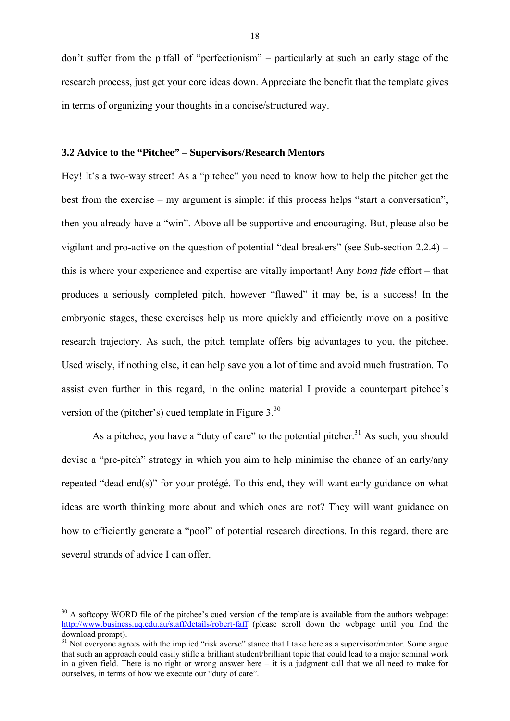don't suffer from the pitfall of "perfectionism" – particularly at such an early stage of the research process, just get your core ideas down. Appreciate the benefit that the template gives in terms of organizing your thoughts in a concise/structured way.

#### **3.2 Advice to the "Pitchee" – Supervisors/Research Mentors**

Hey! It's a two-way street! As a "pitchee" you need to know how to help the pitcher get the best from the exercise – my argument is simple: if this process helps "start a conversation", then you already have a "win". Above all be supportive and encouraging. But, please also be vigilant and pro-active on the question of potential "deal breakers" (see Sub-section 2.2.4) – this is where your experience and expertise are vitally important! Any *bona fide* effort – that produces a seriously completed pitch, however "flawed" it may be, is a success! In the embryonic stages, these exercises help us more quickly and efficiently move on a positive research trajectory. As such, the pitch template offers big advantages to you, the pitchee. Used wisely, if nothing else, it can help save you a lot of time and avoid much frustration. To assist even further in this regard, in the online material I provide a counterpart pitchee's version of the (pitcher's) cued template in Figure  $3^{30}$ .

As a pitchee, you have a "duty of care" to the potential pitcher.<sup>31</sup> As such, you should devise a "pre-pitch" strategy in which you aim to help minimise the chance of an early/any repeated "dead end(s)" for your protégé. To this end, they will want early guidance on what ideas are worth thinking more about and which ones are not? They will want guidance on how to efficiently generate a "pool" of potential research directions. In this regard, there are several strands of advice I can offer.

<sup>&</sup>lt;sup>30</sup> A softcopy WORD file of the pitchee's cued version of the template is available from the authors webpage: http://www.business.uq.edu.au/staff/details/robert-faff (please scroll down the webpage until you find the download prompt).

<sup>&</sup>lt;sup>31</sup> Not everyone agrees with the implied "risk averse" stance that I take here as a supervisor/mentor. Some argue that such an approach could easily stifle a brilliant student/brilliant topic that could lead to a major seminal work in a given field. There is no right or wrong answer here – it is a judgment call that we all need to make for ourselves, in terms of how we execute our "duty of care".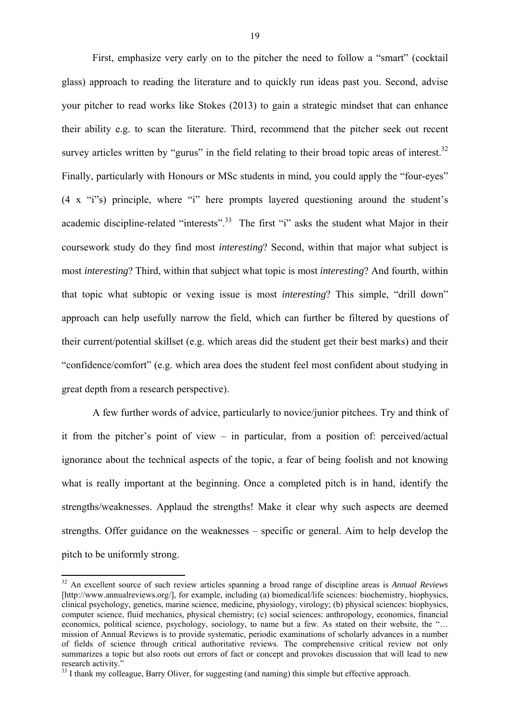First, emphasize very early on to the pitcher the need to follow a "smart" (cocktail glass) approach to reading the literature and to quickly run ideas past you. Second, advise your pitcher to read works like Stokes (2013) to gain a strategic mindset that can enhance their ability e.g. to scan the literature. Third, recommend that the pitcher seek out recent survey articles written by "gurus" in the field relating to their broad topic areas of interest. $32$ Finally, particularly with Honours or MSc students in mind, you could apply the "four-eyes" (4 x "i"s) principle, where "i" here prompts layered questioning around the student's academic discipline-related "interests".<sup>33</sup> The first "i" asks the student what Major in their coursework study do they find most *interesting*? Second, within that major what subject is most *interesting*? Third, within that subject what topic is most *interesting*? And fourth, within that topic what subtopic or vexing issue is most *interesting*? This simple, "drill down" approach can help usefully narrow the field, which can further be filtered by questions of their current/potential skillset (e.g. which areas did the student get their best marks) and their "confidence/comfort" (e.g. which area does the student feel most confident about studying in great depth from a research perspective).

A few further words of advice, particularly to novice/junior pitchees. Try and think of it from the pitcher's point of view – in particular, from a position of: perceived/actual ignorance about the technical aspects of the topic, a fear of being foolish and not knowing what is really important at the beginning. Once a completed pitch is in hand, identify the strengths/weaknesses. Applaud the strengths! Make it clear why such aspects are deemed strengths. Offer guidance on the weaknesses – specific or general. Aim to help develop the pitch to be uniformly strong.

<sup>32</sup> An excellent source of such review articles spanning a broad range of discipline areas is *Annual Reviews* [http://www.annualreviews.org/], for example, including (a) biomedical/life sciences: biochemistry, biophysics, clinical psychology, genetics, marine science, medicine, physiology, virology; (b) physical sciences: biophysics, computer science, fluid mechanics, physical chemistry; (c) social sciences: anthropology, economics, financial economics, political science, psychology, sociology, to name but a few. As stated on their website, the "… mission of Annual Reviews is to provide systematic, periodic examinations of scholarly advances in a number of fields of science through critical authoritative reviews. The comprehensive critical review not only summarizes a topic but also roots out errors of fact or concept and provokes discussion that will lead to new research activity."

<sup>&</sup>lt;sup>33</sup> I thank my colleague, Barry Oliver, for suggesting (and naming) this simple but effective approach.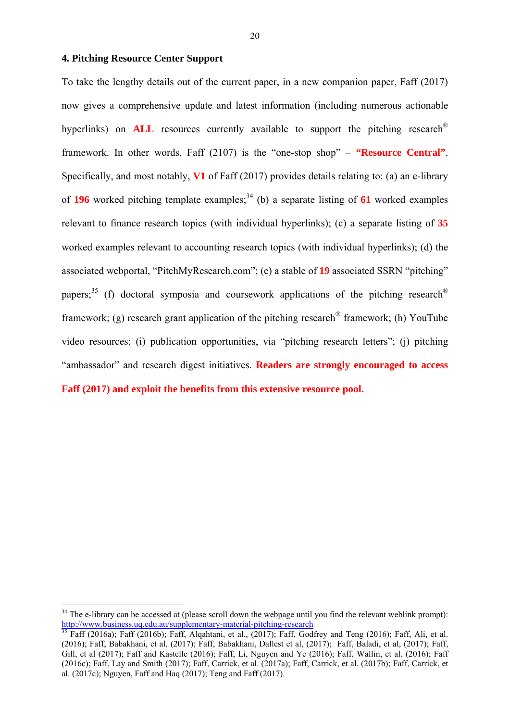## **4. Pitching Resource Center Support**

To take the lengthy details out of the current paper, in a new companion paper, Faff (2017) now gives a comprehensive update and latest information (including numerous actionable hyperlinks) on **ALL** resources currently available to support the pitching research<sup>®</sup> framework. In other words, Faff (2107) is the "one-stop shop" – **"Resource Central"**. Specifically, and most notably, **V1** of Faff (2017) provides details relating to: (a) an e-library of **196** worked pitching template examples;<sup>34</sup> (b) a separate listing of 61 worked examples relevant to finance research topics (with individual hyperlinks); (c) a separate listing of **35** worked examples relevant to accounting research topics (with individual hyperlinks); (d) the associated webportal, "PitchMyResearch.com"; (e) a stable of **19** associated SSRN "pitching" papers;<sup>35</sup> (f) doctoral symposia and coursework applications of the pitching research<sup>®</sup> framework; (g) research grant application of the pitching research® framework; (h) YouTube video resources; (i) publication opportunities, via "pitching research letters"; (j) pitching "ambassador" and research digest initiatives. **Readers are strongly encouraged to access Faff (2017) and exploit the benefits from this extensive resource pool.** 

 $34$  The e-library can be accessed at (please scroll down the webpage until you find the relevant weblink prompt): http://www.business.uq.edu.au/supplementary-material-pitching-research<br><sup>35</sup> Faff (2016a); Faff (2016b); Faff, Alqahtani, et al., (2017); Faff, Godfrey and Teng (2016); Faff, Ali, et al.

<sup>(2016);</sup> Faff, Babakhani, et al, (2017); Faff, Babakhani, Dallest et al, (2017); Faff, Baladi, et al, (2017); Faff, Gill, et al (2017); Faff and Kastelle (2016); Faff, Li, Nguyen and Ye (2016); Faff, Wallin, et al. (2016); Faff (2016c); Faff, Lay and Smith (2017); Faff, Carrick, et al. (2017a); Faff, Carrick, et al. (2017b); Faff, Carrick, et al. (2017c); Nguyen, Faff and Haq (2017); Teng and Faff (2017).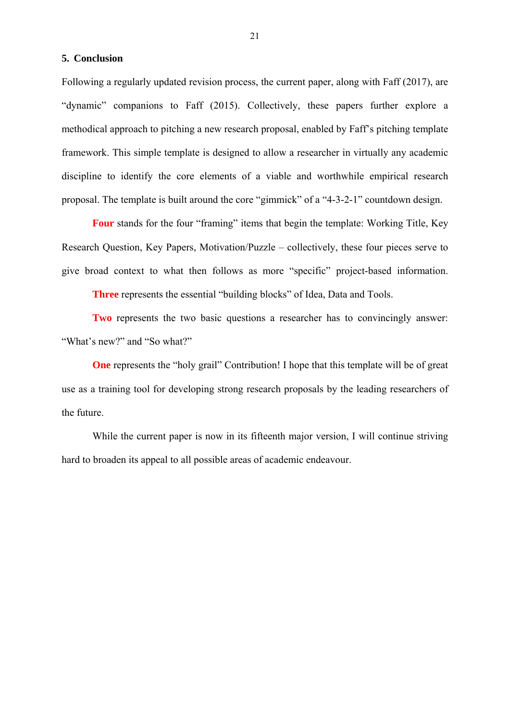#### **5. Conclusion**

Following a regularly updated revision process, the current paper, along with Faff (2017), are "dynamic" companions to Faff (2015). Collectively, these papers further explore a methodical approach to pitching a new research proposal, enabled by Faff's pitching template framework. This simple template is designed to allow a researcher in virtually any academic discipline to identify the core elements of a viable and worthwhile empirical research proposal. The template is built around the core "gimmick" of a "4-3-2-1" countdown design.

**Four** stands for the four "framing" items that begin the template: Working Title, Key Research Question, Key Papers, Motivation/Puzzle – collectively, these four pieces serve to give broad context to what then follows as more "specific" project-based information.

**Three** represents the essential "building blocks" of Idea, Data and Tools.

**Two** represents the two basic questions a researcher has to convincingly answer: "What's new?" and "So what?"

**One** represents the "holy grail" Contribution! I hope that this template will be of great use as a training tool for developing strong research proposals by the leading researchers of the future.

While the current paper is now in its fifteenth major version, I will continue striving hard to broaden its appeal to all possible areas of academic endeavour.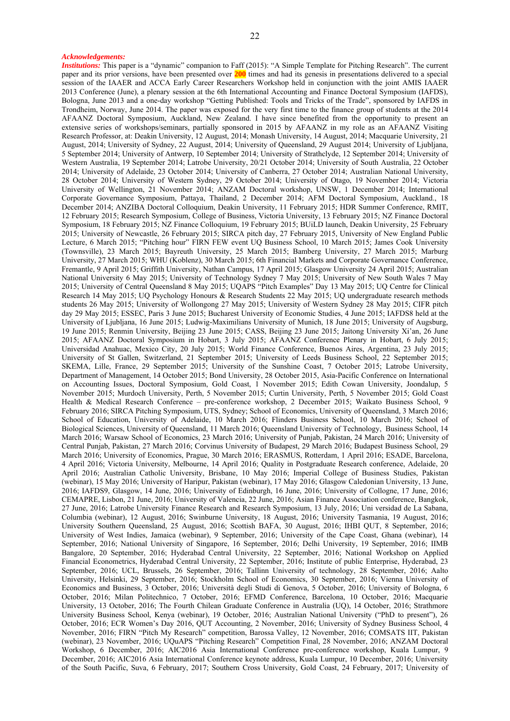#### *Acknowledgements:*

*Institutions:* This paper is a "dynamic" companion to Faff (2015): "A Simple Template for Pitching Research". The current paper and its prior versions, have been presented over **200** times and had its genesis in presentations delivered to a special session of the IAAER and ACCA Early Career Researchers Workshop held in conjunction with the joint AMIS IAAER 2013 Conference (June), a plenary session at the 6th International Accounting and Finance Doctoral Symposium (IAFDS), Bologna, June 2013 and a one-day workshop "Getting Published: Tools and Tricks of the Trade", sponsored by IAFDS in Trondheim, Norway, June 2014. The paper was exposed for the very first time to the finance group of students at the 2014 AFAANZ Doctoral Symposium, Auckland, New Zealand. I have since benefited from the opportunity to present an extensive series of workshops/seminars, partially sponsored in 2015 by AFAANZ in my role as an AFAANZ Visiting Research Professor, at: Deakin University, 12 August, 2014; Monash University, 14 August, 2014; Macquarie University, 21 August, 2014; University of Sydney, 22 August, 2014; University of Queensland, 29 August 2014; University of Ljubljana, 5 September 2014; University of Antwerp, 10 September 2014; University of Strathclyde, 12 September 2014; University of Western Australia, 19 September 2014; Latrobe University, 20/21 October 2014; University of South Australia, 22 October 2014; University of Adelaide, 23 October 2014; University of Canberra, 27 October 2014; Australian National University, 28 October 2014; University of Western Sydney, 29 October 2014; University of Otago, 19 November 2014; Victoria University of Wellington, 21 November 2014; ANZAM Doctoral workshop, UNSW, 1 December 2014; International Corporate Governance Symposium, Pattaya, Thailand, 2 December 2014; AFM Doctoral Symposium, Auckland., 18 December 2014; ANZIBA Doctoral Colloquium, Deakin University, 11 February 2015; HDR Summer Conference, RMIT, 12 February 2015; Research Symposium, College of Business, Victoria University, 13 February 2015; NZ Finance Doctoral Symposium, 18 February 2015; NZ Finance Colloquium, 19 February 2015; BUiLD launch, Deakin University, 25 February 2015; University of Newcastle, 26 February 2015; SIRCA pitch day, 27 February 2015, University of New England Public Lecture, 6 March 2015; "Pitching hour" FIRN FEW event UQ Business School, 10 March 2015; James Cook University (Townsville), 23 March 2015; Bayreuth University, 25 March 2015; Bamberg University, 27 March 2015; Marburg University, 27 March 2015; WHU (Koblenz), 30 March 2015; 6th Financial Markets and Corporate Governance Conference, Fremantle, 9 April 2015; Griffith University, Nathan Campus, 17 April 2015; Glasgow University 24 April 2015; Australian National University 6 May 2015; University of Technology Sydney 7 May 2015; University of New South Wales 7 May 2015; University of Central Queensland 8 May 2015; UQAPS "Pitch Examples" Day 13 May 2015; UQ Centre for Clinical Research 14 May 2015; UQ Psychology Honours & Research Students 22 May 2015; UQ undergraduate research methods students 26 May 2015; University of Wollongong 27 May 2015; University of Western Sydney 28 May 2015; CIFR pitch day 29 May 2015; ESSEC, Paris 3 June 2015; Bucharest University of Economic Studies, 4 June 2015; IAFDS8 held at the University of Ljubljana, 16 June 2015; Ludwig-Maximilians University of Munich, 18 June 2015; University of Augsburg, 19 June 2015; Renmin University, Beijing 23 June 2015; CASS, Beijing 23 June 2015; Jaitong University Xi'an, 26 June 2015; AFAANZ Doctoral Symposium in Hobart, 3 July 2015; AFAANZ Conference Plenary in Hobart, 6 July 2015; Universidad Anahuac, Mexico City, 20 July 2015; World Finance Conference, Buenos Aires, Argentina, 23 July 2015; University of St Gallen, Switzerland, 21 September 2015; University of Leeds Business School, 22 September 2015; SKEMA, Lille, France, 29 September 2015; University of the Sunshine Coast, 7 October 2015; Latrobe University, Department of Management, 14 October 2015; Bond University, 28 October 2015, Asia-Pacific Conference on International on Accounting Issues, Doctoral Symposium, Gold Coast, 1 November 2015; Edith Cowan University, Joondalup, 5 November 2015; Murdoch University, Perth, 5 November 2015; Curtin University, Perth, 5 November 2015; Gold Coast Health & Medical Research Conference – pre-conference workshop, 2 December 2015; Waikato Business School, 9 February 2016; SIRCA Pitching Symposium, UTS, Sydney; School of Economics, University of Queensland, 3 March 2016; School of Education, University of Adelaide, 10 March 2016; Flinders Business School, 10 March 2016; School of Biological Sciences, University of Queensland, 11 March 2016; Queensland University of Technology, Business School, 14 March 2016; Warsaw School of Economics, 23 March 2016; University of Punjab, Pakistan, 24 March 2016; University of Central Punjab, Pakistan, 27 March 2016; Corvinus University of Budapest, 29 March 2016; Budapest Business School, 29 March 2016; University of Economics, Prague, 30 March 2016; ERASMUS, Rotterdam, 1 April 2016; ESADE, Barcelona, 4 April 2016; Victoria University, Melbourne, 14 April 2016; Quality in Postgraduate Research conference, Adelaide, 20 April 2016; Australian Catholic University, Brisbane, 10 May 2016; Imperial College of Business Studies, Pakistan (webinar), 15 May 2016; University of Haripur, Pakistan (webinar), 17 May 2016; Glasgow Caledonian University, 13 June, 2016; IAFDS9, Glasgow, 14 June, 2016; University of Edinburgh, 16 June, 2016; University of Collogne, 17 June, 2016; CEMAPRE, Lisbon, 21 June, 2016; University of Valencia, 22 June, 2016; Asian Finance Association conference, Bangkok, 27 June, 2016; Latrobe University Finance Research and Research Symposium, 13 July, 2016; Uni versidad de La Sabana, Columbia (webinar), 12 August, 2016; Swinburne University, 18 August, 2016; University Tasmania, 19 August, 2016; University Southern Queensland, 25 August, 2016; Scottish BAFA, 30 August, 2016; IHBI QUT, 8 September, 2016; University of West Indies, Jamaica (webinar), 9 September, 2016; University of the Cape Coast, Ghana (webinar), 14 September, 2016; National University of Singapore, 16 September, 2016; Delhi University, 19 September, 2016; IIMB Bangalore, 20 September, 2016; Hyderabad Central University, 22 September, 2016; National Workshop on Applied Financial Econometrics, Hyderabad Central University, 22 September, 2016; Institute of public Enterprise, Hyderabad, 23 September, 2016; UCL, Brussels, 26 September, 2016; Tallinn University of technology, 28 September, 2016; Aalto University, Helsinki, 29 September, 2016; Stockholm School of Economics, 30 September, 2016; Vienna University of Economics and Business, 3 October, 2016; Università degli Studi di Genova, 5 October, 2016; University of Bologna, 6 October, 2016; Milan Politechnico, 7 October, 2016; EFMD Conference, Barcelona, 10 October, 2016; Macquarie University, 13 October, 2016; The Fourth Chilean Graduate Conference in Australia (UQ), 14 October, 2016; Strathmore University Business School, Kenya (webinar), 19 October, 2016; Australian National University ("PhD to present"), 26 October, 2016; ECR Women's Day 2016, QUT Accounting, 2 November, 2016; University of Sydney Business School, 4 November, 2016; FIRN "Pitch My Research" competition, Barossa Valley, 12 November, 2016; COMSATS IIT, Pakistan (webinar), 23 November, 2016; UQuAPS "Pitching Research" Competition Final, 28 November, 2016; ANZAM Doctoral Workshop, 6 December, 2016; AIC2016 Asia International Conference pre-conference workshop, Kuala Lumpur, 9 December, 2016; AIC2016 Asia International Conference keynote address, Kuala Lumpur, 10 December, 2016; University of the South Pacific, Suva, 6 February, 2017; Southern Cross University, Gold Coast, 24 February, 2017; University of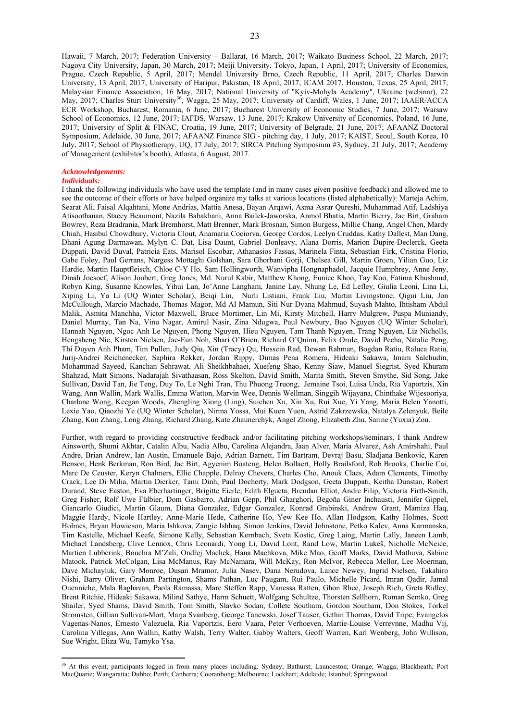Hawaii, 7 March, 2017; Federation University – Ballarat, 16 March, 2017; Waikato Business School, 22 March, 2017; Nagoya City University, Japan, 30 March, 2017; Meiji University, Tokyo, Japan, 1 April, 2017; University of Economics, Prague, Czech Republic, 5 April, 2017; Mendel University Brno, Czech Republic, 11 April, 2017; Charles Darwin University, 13 April, 2017; University of Haripur, Pakistan, 18 April, 2017; ICAM 2017, Houston, Texas, 25 April, 2017; Malaysian Finance Association, 16 May, 2017; National University of "Kyiv-Mohyla Academy", Ukraine (webinar), 22 Malaysian Finance Association, 10 may, 2017, National University of Legislation Cardiff, Wales, 1 June, 2017; IAAER/ACCA<br>May, 2017; Charles Sturt University<sup>36</sup>, Wagga, 25 May, 2017; University of Economic Studies, 7 June, ECR Workshop, Bucharest, Romania, 6 June, 2017; Bucharest University of Economic Studies, 7 June, 2017; Warsaw School of Economics, 12 June, 2017; IAFDS, Warsaw, 13 June, 2017; Krakow University of Economics, Poland, 16 June, 2017; University of Split & FINAC, Croatia, 19 June, 2017; University of Belgrade, 21 June, 2017; AFAANZ Doctoral Symposium, Adelaide, 30 June, 2017; AFAANZ Finance SIG - pitching day, 1 July, 2017; KAIST, Seoul, South Korea, 10 July, 2017; School of Physiotherapy, UQ, 17 July, 2017; SIRCA Pitching Symposium #3, Sydney, 21 July, 2017; Academy of Management (exhibitor's booth), Atlanta, 6 August, 2017.

#### *Acknowledgements:*

#### *Individuals:*

I thank the following individuals who have used the template (and in many cases given positive feedback) and allowed me to see the outcome of their efforts or have helped organize my talks at various locations (listed alphabetically): Marteja Achim, Searat Ali, Faisal Alqahtani, Mone Andrias, Mattia Anesa, Bayan Arqawi, Asma Asrar Qureshi, Muhammad Atif, Ladshiya Atisoothanan, Stacey Beaumont, Nazila Babakhani, Anna Bailek-Jaworska, Anmol Bhatia, Martin Bierry, Jac Birt, Graham Bowrey, Reza Bradrania, Mark Bremhorst, Matt Brenner, Mark Brosnan, Simon Burgess, Millie Chang, Angel Chen, Mardy Chiah, Hasibul Chowdhury, Victoria Clout, Anamaria Cociorva, George Cordos, Leelyn Cruddas, Kathy Dallest, Man Dang, Dhani Agung Darmawan, Mylyn C. Dat, Lisa Daunt, Gabriel Donleavy, Alana Dorris, Marion Dupire-Declerck, Geeta Duppati, David Duval, Patricia Eats, Marisol Escobar, Athanasios Fassas, Marinela Finta, Sebastian Firk, Cristina Florio, Gabe Foley, Paul Gerrans, Nargess Mottaghi Golshan, Sara Ghorbani Gorji, Chelsea Gill, Martin Groen, Yilian Guo, Liz Hardie, Martin Hauptfleisch, Chloe C-Y Ho, Sam Hollingworth, Wanvipha Hongnaphadol, Jacquie Humphrey, Anne Jeny, Dinah Joesoef, Alison Joubert, Greg Jones, Md. Nurul Kabir, Matthew Khong, Eunice Khoo, Tay Koo, Fatima Khushnud, Robyn King, Susanne Knowles, Yihui Lan, Jo'Anne Langham, Janine Lay, Nhung Le, Ed Lefley, Giulia Leoni, Lina Li, Xiping Li, Ya Li (UQ Winter Scholar), Beiqi Lin, Nurli Listiani, Frank Liu, Martin Livingstone, Qigui Liu, Jon McCullough, Marcio Machado, Thomas Magor, Md Al Mamun, Siti Nur Dyana Mahmud, Suyash Mahto, Ihtisham Abdul Malik, Asmita Manchha, Victor Maxwell, Bruce Mortimer, Lin Mi, Kirsty Mitchell, Harry Mulgrew, Puspa Muniandy, Daniel Murray, Tan Na, Vinu Nagar, Amirul Nasir, Zina Ndugwa, Paul Newbury, Bao Nguyen (UQ Winter Scholar), Hannah Nguyen, Ngoc Anh Le Nguyen, Phong Nguyen, Hieu Nguyen, Tam Thanh Nguyen, Trang Nguyen, Liz Nicholls, Hengsheng Nie, Kirsten Nielsen, Jae-Eun Noh, Shari O'Brien, Richard O'Quinn, Felix Orole, David Pecha, Natalie Peng, Thi Duyen Anh Pham, Tim Pullen, Judy Qiu, Xin (Tracy) Qu, Hossein Rad, Dewan Rahman, Bogdan Ratiu, Raluca Ratiu, Jurij-Andrei Reichenecker, Saphira Rekker, Jordan Rippy, Dimas Pena Romera, Hideaki Sakawa, Imam Salehudin, Mohammad Sayeed, Kanchan Sehrawat, Ali Sheikhbahaei, Xuefeng Shao, Kenny Siaw, Manuel Siegrist, Syed Khuram Shahzad, Matt Simons, Nadarajah Sivathaasan, Ross Skelton, David Smith, Marita Smith, Steven Smythe, Sid Song, Jake Sullivan, David Tan, Jie Teng, Duy To, Le Nghi Tran, Thu Phuong Truong, Jemaine Tsoi, Luisa Unda, Ria Vaportzis, Xin Wang, Ann Wallin, Mark Wallis, Emma Watton, Marvin Wee, Dennis Wellman, Singgih Wijayana, Chinthake Wijesooriya, Charlane Wong, Keegan Woods, Zhengling Xiong (Ling), Suichen Xu, Xin Xu, Rui Xue, Yi Yang, Maria Belen Yanotti, Lexie Yao, Qiaozhi Ye (UQ Winter Scholar), Nirma Yossa, Mui Kuen Yuen, Astrid Zakrzewska, Natalya Zelenyuk, Beile Zhang, Kun Zhang, Long Zhang, Richard Zhang, Kate Zhaunerchyk, Angel Zhong, Elizabeth Zhu, Sarine (Yuxia) Zou.

Further, with regard to providing constructive feedback and/or facilitating pitching workshops/seminars, I thank Andrew Ainsworth, Shumi Akhtar, Catalin Albu, Nadia Albu, Carolina Alejandra, Jaan Alver, Maria Alvarez, Ash Amirshahi, Paul Andre, Brian Andrew, Ian Austin, Emanuele Bajo, Adrian Barnett, Tim Bartram, Devraj Basu, Sladjana Benkovic, Karen Benson, Henk Berkman, Ron Bird, Jac Birt, Agyenim Boateng, Helen Bollaert, Holly Brailsford, Rob Brooks, Charlie Cai, Marc De Ceuster, Keryn Chalmers, Ellie Chapple, Delroy Chevers, Charles Cho, Anouk Claes, Adam Clements, Timothy Crack, Lee Di Milia, Martin Dierker, Tami Dinh, Paul Docherty, Mark Dodgson, Geeta Duppati, Keitha Dunstan, Robert Durand, Steve Easton, Eva Eberhartinger, Brigitte Eierle, Edith Elgueta, Brendan Elliot, Andre Filip, Victoria Firth-Smith, Greg Fisher, Rolf Uwe Fülbier, Dom Gasbarro, Adrian Gepp, Phil Gharghori, Begoña Giner Inchausti, Jennifer Gippel, Giancarlo Giudici, Martin Glaum, Diana Gonzalez, Edgar Gonzalez, Konrad Grabinski, Andrew Grant, Mamiza Haq, Maggie Hardy, Nicole Hartley, Anne-Marie Hede, Catherine Ho, Yew Kee Ho, Allan Hodgson, Kathy Holmes, Scott Holmes, Bryan Howieson, Maria Ishkova, Zangie Ishhaq, Simon Jenkins, David Johnstone, Petko Kalev, Anna Karmanska, Tim Kastelle, Michael Keefe, Simone Kelly, Sebastian Kernbach, Sveta Kostic, Greg Laing, Martin Lally, Janeen Lamb, Michael Landsberg, Clive Lennox, Chris Leonardi, Yong Li, David Lont, Rand Low, Martin Lukeš, Nicholle McNeice, Martien Lubberink, Bouchra M'Zali, Ondřej Machek, Hana Machkova, Mike Mao, Geoff Marks, David Mathuva, Sabine Matook, Patrick McColgan, Lisa McManus, Ray McNamara, Will McKay, Ron McIvor, Rebecca Mellor, Lee Moerman, Dave Michayluk, Gary Monroe, Dusan Mramor, Julia Nasev, Dana Nerudova, Lance Newey, Ingrid Nielsen, Takahiro Nishi, Barry Oliver, Graham Partington, Shams Pathan, Luc Paugam, Rui Paulo, Michelle Picard, Imran Qadir, Jamal Ouenniche, Mala Raghavan, Paola Ramassa, Marc Steffen Rapp, Vanessa Ratten, Ghon Rhee, Joseph Rich, Greta Ridley, Brent Ritchie, Hideaki Sakawa, Milind Sathye, Harm Schuett, Wolfgang Schultze, Thorsten Sellhorn, Roman Semko, Greg Shailer, Syed Shams, David Smith, Tom Smith, Slavko Sodan, Collete Southam, Gordon Southam, Don Stokes, Torkel Stromsten, Gillian Sullivan-Mort, Marja Svanberg, George Tanewski, Josef Tauser, Gethin Thomas, David Tripe, Evangelos Vagenas-Nanos, Ernesto Valezuela, Ria Vaportzis, Eero Vaara, Peter Verhoeven, Martie-Louise Verreynne, Madhu Vij, Carolina Villegas, Ann Wallin, Kathy Walsh, Terry Walter, Gabby Walters, Geoff Warren, Karl Wenberg, John Willison, Sue Wright, Eliza Wu, Tamyko Ysa.

<sup>&</sup>lt;sup>36</sup> At this event, participants logged in from many places including: Sydney; Bathurst; Launceston; Orange; Wagga; Blackheath; Port MacQuarie; Wangaratta; Dubbo; Perth; Canberra; Cooranbong; Melbourne; Lockhart; Adelaide; Istanbul; Springwood.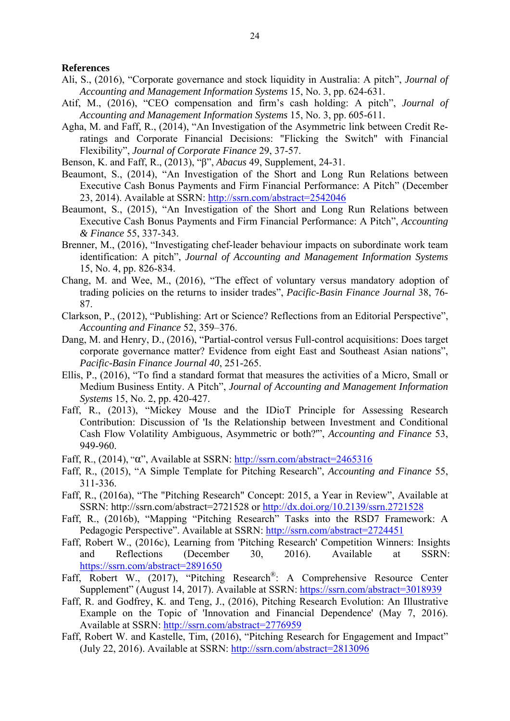#### **References**

- Ali, S., (2016), "Corporate governance and stock liquidity in Australia: A pitch", *Journal of Accounting and Management Information Systems* 15, No. 3, pp. 624-631.
- Atif, M., (2016), "CEO compensation and firm's cash holding: A pitch", *Journal of Accounting and Management Information Systems* 15, No. 3, pp. 605-611.
- Agha, M. and Faff, R., (2014), "An Investigation of the Asymmetric link between Credit Reratings and Corporate Financial Decisions: "Flicking the Switch" with Financial Flexibility", *Journal of Corporate Finance* 29, 37-57.
- Benson, K. and Faff, R., (2013), "β", *Abacus* 49, Supplement, 24-31.
- Beaumont, S., (2014), "An Investigation of the Short and Long Run Relations between Executive Cash Bonus Payments and Firm Financial Performance: A Pitch" (December 23, 2014). Available at SSRN: http://ssrn.com/abstract=2542046
- Beaumont, S., (2015), "An Investigation of the Short and Long Run Relations between Executive Cash Bonus Payments and Firm Financial Performance: A Pitch", *Accounting & Finance* 55, 337-343.
- Brenner, M., (2016), "Investigating chef-leader behaviour impacts on subordinate work team identification: A pitch", *Journal of Accounting and Management Information Systems* 15, No. 4, pp. 826-834.
- Chang, M. and Wee, M., (2016), "The effect of voluntary versus mandatory adoption of trading policies on the returns to insider trades", *Pacific-Basin Finance Journal* 38, 76- 87.
- Clarkson, P., (2012), "Publishing: Art or Science? Reflections from an Editorial Perspective", *Accounting and Finance* 52, 359–376.
- Dang, M. and Henry, D., (2016), "Partial-control versus Full-control acquisitions: Does target corporate governance matter? Evidence from eight East and Southeast Asian nations", *Pacific-Basin Finance Journal 40*, 251-265.
- Ellis, P., (2016), "To find a standard format that measures the activities of a Micro, Small or Medium Business Entity. A Pitch", *Journal of Accounting and Management Information Systems* 15, No. 2, pp. 420-427.
- Faff, R., (2013), "Mickey Mouse and the IDioT Principle for Assessing Research Contribution: Discussion of 'Is the Relationship between Investment and Conditional Cash Flow Volatility Ambiguous, Asymmetric or both?'", *Accounting and Finance* 53, 949-960.
- Faff, R., (2014), "α", Available at SSRN: http://ssrn.com/abstract=2465316
- Faff, R., (2015), "A Simple Template for Pitching Research", *Accounting and Finance* 55, 311-336.
- Faff, R., (2016a), "The "Pitching Research" Concept: 2015, a Year in Review", Available at SSRN: http://ssrn.com/abstract=2721528 or http://dx.doi.org/10.2139/ssrn.2721528
- Faff, R., (2016b), "Mapping "Pitching Research" Tasks into the RSD7 Framework: A Pedagogic Perspective". Available at SSRN: http://ssrn.com/abstract=2724451
- Faff, Robert W., (2016c), Learning from 'Pitching Research' Competition Winners: Insights and Reflections (December 30, 2016). Available at SSRN: https://ssrn.com/abstract=2891650
- Faff, Robert W., (2017), "Pitching Research®: A Comprehensive Resource Center Supplement" (August 14, 2017). Available at SSRN: https://ssrn.com/abstract=3018939
- Faff, R. and Godfrey, K. and Teng, J., (2016), Pitching Research Evolution: An Illustrative Example on the Topic of 'Innovation and Financial Dependence' (May 7, 2016). Available at SSRN: http://ssrn.com/abstract=2776959
- Faff, Robert W. and Kastelle, Tim, (2016), "Pitching Research for Engagement and Impact" (July 22, 2016). Available at SSRN: http://ssrn.com/abstract=2813096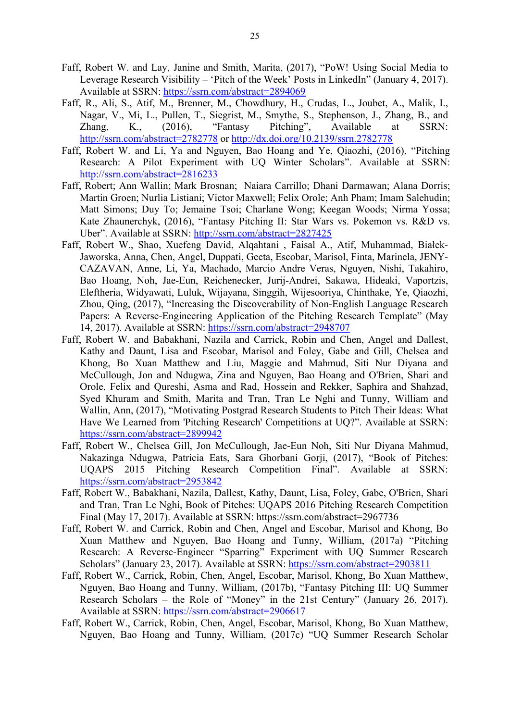- Faff, Robert W. and Lay, Janine and Smith, Marita, (2017), "PoW! Using Social Media to Leverage Research Visibility – 'Pitch of the Week' Posts in LinkedIn" (January 4, 2017). Available at SSRN: https://ssrn.com/abstract=2894069
- Faff, R., Ali, S., Atif, M., Brenner, M., Chowdhury, H., Crudas, L., Joubet, A., Malik, I., Nagar, V., Mi, L., Pullen, T., Siegrist, M., Smythe, S., Stephenson, J., Zhang, B., and Zhang, K., (2016), "Fantasy Pitching", Available at SSRN: http://ssrn.com/abstract=2782778 or http://dx.doi.org/10.2139/ssrn.2782778
- Faff, Robert W. and Li, Ya and Nguyen, Bao Hoang and Ye, Qiaozhi, (2016), "Pitching Research: A Pilot Experiment with UQ Winter Scholars". Available at SSRN: http://ssrn.com/abstract=2816233
- Faff, Robert; Ann Wallin; Mark Brosnan; Naiara Carrillo; Dhani Darmawan; Alana Dorris; Martin Groen; Nurlia Listiani; Victor Maxwell; Felix Orole; Anh Pham; Imam Salehudin; Matt Simons; Duy To; Jemaine Tsoi; Charlane Wong; Keegan Woods; Nirma Yossa; Kate Zhaunerchyk, (2016), "Fantasy Pitching II: Star Wars vs. Pokemon vs. R&D vs. Uber". Available at SSRN: http://ssrn.com/abstract=2827425
- Faff, Robert W., Shao, Xuefeng David, Alqahtani , Faisal A., Atif, Muhammad, Białek-Jaworska, Anna, Chen, Angel, Duppati, Geeta, Escobar, Marisol, Finta, Marinela, JENY-CAZAVAN, Anne, Li, Ya, Machado, Marcio Andre Veras, Nguyen, Nishi, Takahiro, Bao Hoang, Noh, Jae-Eun, Reichenecker, Jurij-Andrei, Sakawa, Hideaki, Vaportzis, Eleftheria, Widyawati, Luluk, Wijayana, Singgih, Wijesooriya, Chinthake, Ye, Qiaozhi, Zhou, Qing, (2017), "Increasing the Discoverability of Non-English Language Research Papers: A Reverse-Engineering Application of the Pitching Research Template" (May 14, 2017). Available at SSRN: https://ssrn.com/abstract=2948707
- Faff, Robert W. and Babakhani, Nazila and Carrick, Robin and Chen, Angel and Dallest, Kathy and Daunt, Lisa and Escobar, Marisol and Foley, Gabe and Gill, Chelsea and Khong, Bo Xuan Matthew and Liu, Maggie and Mahmud, Siti Nur Diyana and McCullough, Jon and Ndugwa, Zina and Nguyen, Bao Hoang and O'Brien, Shari and Orole, Felix and Qureshi, Asma and Rad, Hossein and Rekker, Saphira and Shahzad, Syed Khuram and Smith, Marita and Tran, Tran Le Nghi and Tunny, William and Wallin, Ann, (2017), "Motivating Postgrad Research Students to Pitch Their Ideas: What Have We Learned from 'Pitching Research' Competitions at UQ?". Available at SSRN: https://ssrn.com/abstract=2899942
- Faff, Robert W., Chelsea Gill, Jon McCullough, Jae-Eun Noh, Siti Nur Diyana Mahmud, Nakazinga Ndugwa, Patricia Eats, Sara Ghorbani Gorji, (2017), "Book of Pitches: UQAPS 2015 Pitching Research Competition Final". Available at SSRN: https://ssrn.com/abstract=2953842
- Faff, Robert W., Babakhani, Nazila, Dallest, Kathy, Daunt, Lisa, Foley, Gabe, O'Brien, Shari and Tran, Tran Le Nghi, Book of Pitches: UQAPS 2016 Pitching Research Competition Final (May 17, 2017). Available at SSRN: https://ssrn.com/abstract=2967736
- Faff, Robert W. and Carrick, Robin and Chen, Angel and Escobar, Marisol and Khong, Bo Xuan Matthew and Nguyen, Bao Hoang and Tunny, William, (2017a) "Pitching Research: A Reverse-Engineer "Sparring" Experiment with UQ Summer Research Scholars" (January 23, 2017). Available at SSRN: https://ssrn.com/abstract=2903811
- Faff, Robert W., Carrick, Robin, Chen, Angel, Escobar, Marisol, Khong, Bo Xuan Matthew, Nguyen, Bao Hoang and Tunny, William, (2017b), "Fantasy Pitching III: UQ Summer Research Scholars – the Role of "Money" in the 21st Century" (January 26, 2017). Available at SSRN: https://ssrn.com/abstract=2906617
- Faff, Robert W., Carrick, Robin, Chen, Angel, Escobar, Marisol, Khong, Bo Xuan Matthew, Nguyen, Bao Hoang and Tunny, William, (2017c) "UQ Summer Research Scholar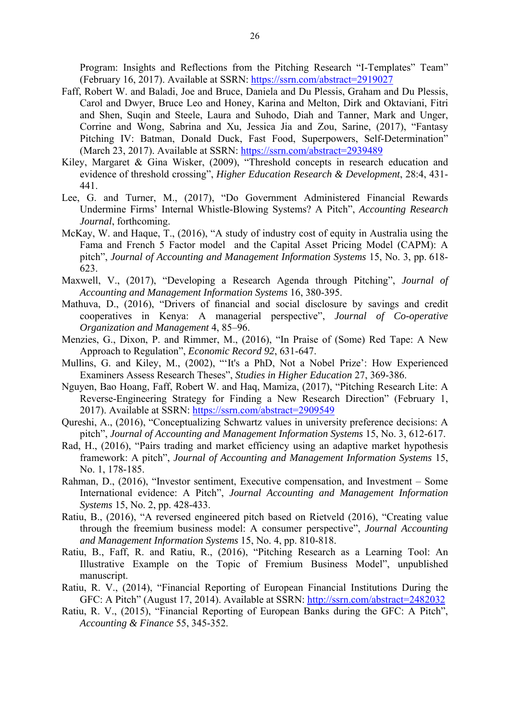Program: Insights and Reflections from the Pitching Research "I-Templates" Team" (February 16, 2017). Available at SSRN: https://ssrn.com/abstract=2919027

- Faff, Robert W. and Baladi, Joe and Bruce, Daniela and Du Plessis, Graham and Du Plessis, Carol and Dwyer, Bruce Leo and Honey, Karina and Melton, Dirk and Oktaviani, Fitri and Shen, Suqin and Steele, Laura and Suhodo, Diah and Tanner, Mark and Unger, Corrine and Wong, Sabrina and Xu, Jessica Jia and Zou, Sarine, (2017), "Fantasy Pitching IV: Batman, Donald Duck, Fast Food, Superpowers, Self-Determination" (March 23, 2017). Available at SSRN: https://ssrn.com/abstract=2939489
- Kiley, Margaret & Gina Wisker, (2009), "Threshold concepts in research education and evidence of threshold crossing", *Higher Education Research & Development*, 28:4, 431- 441.
- Lee, G. and Turner, M., (2017), "Do Government Administered Financial Rewards Undermine Firms' Internal Whistle-Blowing Systems? A Pitch", *Accounting Research Journal*, forthcoming.
- McKay, W. and Haque, T., (2016), "A study of industry cost of equity in Australia using the Fama and French 5 Factor model and the Capital Asset Pricing Model (CAPM): A pitch", *Journal of Accounting and Management Information Systems* 15, No. 3, pp. 618- 623.
- Maxwell, V., (2017), "Developing a Research Agenda through Pitching", *Journal of Accounting and Management Information Systems* 16, 380-395.
- Mathuva, D., (2016), "Drivers of financial and social disclosure by savings and credit cooperatives in Kenya: A managerial perspective", *Journal of Co-operative Organization and Management* 4, 85–96.
- Menzies, G., Dixon, P. and Rimmer, M., (2016), "In Praise of (Some) Red Tape: A New Approach to Regulation", *Economic Record 92*, 631-647.
- Mullins, G. and Kiley, M., (2002), "'It's a PhD, Not a Nobel Prize': How Experienced Examiners Assess Research Theses", *Studies in Higher Education* 27, 369-386.
- Nguyen, Bao Hoang, Faff, Robert W. and Haq, Mamiza, (2017), "Pitching Research Lite: A Reverse-Engineering Strategy for Finding a New Research Direction" (February 1, 2017). Available at SSRN: https://ssrn.com/abstract=2909549
- Qureshi, A., (2016), "Conceptualizing Schwartz values in university preference decisions: A pitch", *Journal of Accounting and Management Information Systems* 15, No. 3, 612-617.
- Rad, H., (2016), "Pairs trading and market efficiency using an adaptive market hypothesis framework: A pitch", *Journal of Accounting and Management Information Systems* 15, No. 1, 178-185.
- Rahman, D., (2016), "Investor sentiment, Executive compensation, and Investment Some International evidence: A Pitch", *Journal Accounting and Management Information Systems* 15, No. 2, pp. 428-433.
- Ratiu, B., (2016), "A reversed engineered pitch based on Rietveld (2016), "Creating value through the freemium business model: A consumer perspective", *Journal Accounting and Management Information Systems* 15, No. 4, pp. 810-818.
- Ratiu, B., Faff, R. and Ratiu, R., (2016), "Pitching Research as a Learning Tool: An Illustrative Example on the Topic of Fremium Business Model", unpublished manuscript.
- Ratiu, R. V., (2014), "Financial Reporting of European Financial Institutions During the GFC: A Pitch" (August 17, 2014). Available at SSRN: http://ssrn.com/abstract=2482032
- Ratiu, R. V., (2015), "Financial Reporting of European Banks during the GFC: A Pitch", *Accounting & Finance* 55, 345-352.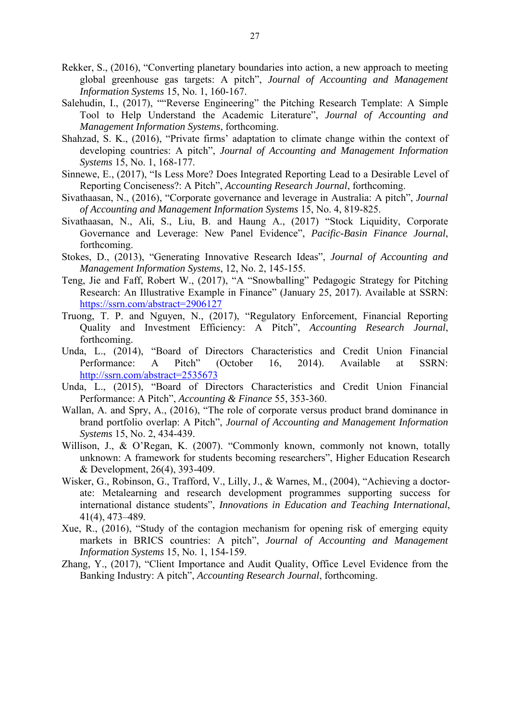- Rekker, S., (2016), "Converting planetary boundaries into action, a new approach to meeting global greenhouse gas targets: A pitch", *Journal of Accounting and Management Information Systems* 15, No. 1, 160-167.
- Salehudin, I., (2017), ""Reverse Engineering" the Pitching Research Template: A Simple Tool to Help Understand the Academic Literature", *Journal of Accounting and Management Information Systems*, forthcoming.
- Shahzad, S. K., (2016), "Private firms' adaptation to climate change within the context of developing countries: A pitch", *Journal of Accounting and Management Information Systems* 15, No. 1, 168-177.
- Sinnewe, E., (2017), "Is Less More? Does Integrated Reporting Lead to a Desirable Level of Reporting Conciseness?: A Pitch", *Accounting Research Journal*, forthcoming.
- Sivathaasan, N., (2016), "Corporate governance and leverage in Australia: A pitch", *Journal of Accounting and Management Information Systems* 15, No. 4, 819-825.
- Sivathaasan, N., Ali, S., Liu, B. and Haung A., (2017) "Stock Liquidity, Corporate Governance and Leverage: New Panel Evidence", *Pacific-Basin Finance Journal*, forthcoming.
- Stokes, D., (2013), "Generating Innovative Research Ideas", *Journal of Accounting and Management Information Systems*, 12, No. 2, 145-155.
- Teng, Jie and Faff, Robert W., (2017), "A "Snowballing" Pedagogic Strategy for Pitching Research: An Illustrative Example in Finance" (January 25, 2017). Available at SSRN: https://ssrn.com/abstract=2906127
- Truong, T. P. and Nguyen, N., (2017), "Regulatory Enforcement, Financial Reporting Quality and Investment Efficiency: A Pitch", *Accounting Research Journal*, forthcoming.
- Unda, L., (2014), "Board of Directors Characteristics and Credit Union Financial Performance: A Pitch" (October 16, 2014). Available at SSRN: http://ssrn.com/abstract=2535673
- Unda, L., (2015), "Board of Directors Characteristics and Credit Union Financial Performance: A Pitch", *Accounting & Finance* 55, 353-360.
- Wallan, A. and Spry, A., (2016), "The role of corporate versus product brand dominance in brand portfolio overlap: A Pitch", *Journal of Accounting and Management Information Systems* 15, No. 2, 434-439.
- Willison, J., & O'Regan, K. (2007). "Commonly known, commonly not known, totally unknown: A framework for students becoming researchers", Higher Education Research & Development, 26(4), 393-409.
- Wisker, G., Robinson, G., Trafford, V., Lilly, J., & Warnes, M., (2004), "Achieving a doctorate: Metalearning and research development programmes supporting success for international distance students", *Innovations in Education and Teaching International*, 41(4), 473–489.
- Xue, R., (2016), "Study of the contagion mechanism for opening risk of emerging equity markets in BRICS countries: A pitch", *Journal of Accounting and Management Information Systems* 15, No. 1, 154-159.
- Zhang, Y., (2017), "Client Importance and Audit Quality, Office Level Evidence from the Banking Industry: A pitch", *Accounting Research Journal*, forthcoming.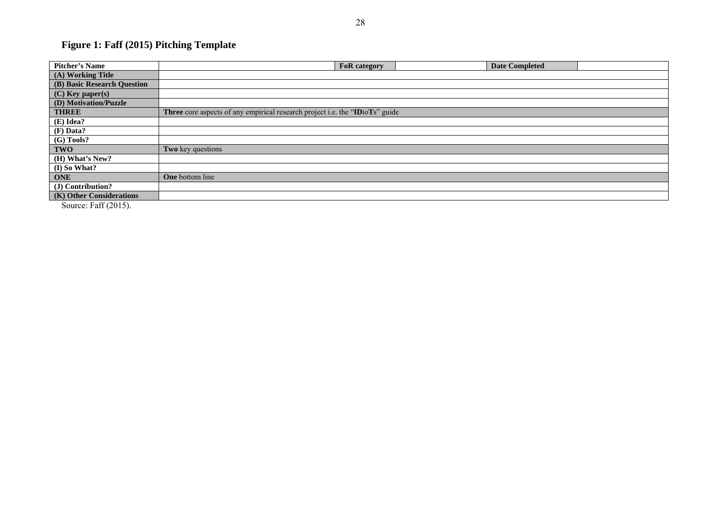# **Figure 1: Faff (2015) Pitching Template**

| <b>Pitcher's Name</b>       | <b>FoR</b> category                                                          | <b>Date Completed</b> |
|-----------------------------|------------------------------------------------------------------------------|-----------------------|
| (A) Working Title           |                                                                              |                       |
| (B) Basic Research Question |                                                                              |                       |
| $(C)$ Key paper $(s)$       |                                                                              |                       |
| (D) Motivation/Puzzle       |                                                                              |                       |
| <b>THREE</b>                | Three core aspects of any empirical research project i.e. the "IDioTs" guide |                       |
| $(E)$ Idea?                 |                                                                              |                       |
| $(F)$ Data?                 |                                                                              |                       |
| $(G)$ Tools?                |                                                                              |                       |
| <b>TWO</b>                  | <b>Two</b> key questions                                                     |                       |
| (H) What's New?             |                                                                              |                       |
| $(I)$ So What?              |                                                                              |                       |
| <b>ONE</b>                  | <b>One</b> bottom line                                                       |                       |
| (J) Contribution?           |                                                                              |                       |
| (K) Other Considerations    |                                                                              |                       |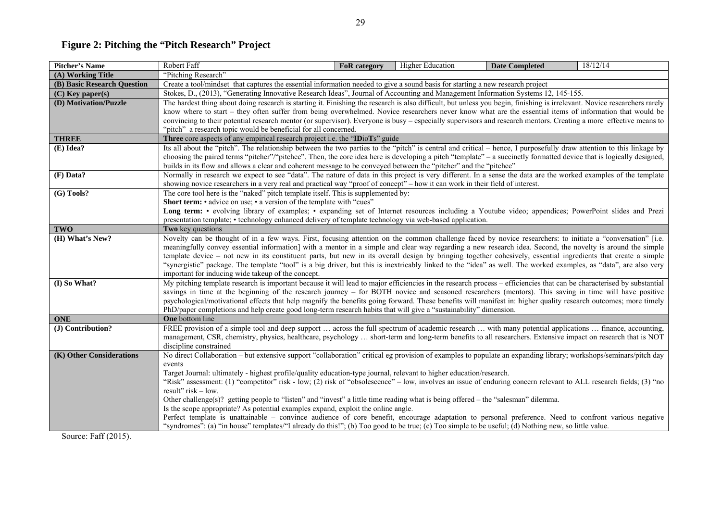## **Figure 2: Pitching the "Pitch Research" Project**

| <b>Pitcher's Name</b>       | Robert Faff                                                                                                                                                                                                                                                                                                            | <b>FoR</b> category                                                                                                                                             | <b>Higher Education</b> | <b>Date Completed</b> | 18/12/14 |  |  |  |
|-----------------------------|------------------------------------------------------------------------------------------------------------------------------------------------------------------------------------------------------------------------------------------------------------------------------------------------------------------------|-----------------------------------------------------------------------------------------------------------------------------------------------------------------|-------------------------|-----------------------|----------|--|--|--|
| (A) Working Title           | "Pitching Research"                                                                                                                                                                                                                                                                                                    |                                                                                                                                                                 |                         |                       |          |  |  |  |
| (B) Basic Research Question | Create a tool/mindset that captures the essential information needed to give a sound basis for starting a new research project                                                                                                                                                                                         |                                                                                                                                                                 |                         |                       |          |  |  |  |
| $(C)$ Key paper $(s)$       | Stokes, D., (2013), "Generating Innovative Research Ideas", Journal of Accounting and Management Information Systems 12, 145-155.                                                                                                                                                                                      |                                                                                                                                                                 |                         |                       |          |  |  |  |
| (D) Motivation/Puzzle       | The hardest thing about doing research is starting it. Finishing the research is also difficult, but unless you begin, finishing is irrelevant. Novice researchers rarely                                                                                                                                              |                                                                                                                                                                 |                         |                       |          |  |  |  |
|                             | know where to start – they often suffer from being overwhelmed. Novice researchers never know what are the essential items of information that would be                                                                                                                                                                |                                                                                                                                                                 |                         |                       |          |  |  |  |
|                             | convincing to their potential research mentor (or supervisor). Everyone is busy - especially supervisors and research mentors. Creating a more effective means to                                                                                                                                                      |                                                                                                                                                                 |                         |                       |          |  |  |  |
|                             | "pitch" a research topic would be beneficial for all concerned.                                                                                                                                                                                                                                                        |                                                                                                                                                                 |                         |                       |          |  |  |  |
| <b>THREE</b>                | Three core aspects of any empirical research project i.e. the "IDioTs" guide                                                                                                                                                                                                                                           |                                                                                                                                                                 |                         |                       |          |  |  |  |
| $(E)$ Idea?                 | Its all about the "pitch". The relationship between the two parties to the "pitch" is central and critical – hence, I purposefully draw attention to this linkage by                                                                                                                                                   |                                                                                                                                                                 |                         |                       |          |  |  |  |
|                             | choosing the paired terms "pitcher"/"pitchee". Then, the core idea here is developing a pitch "template" – a succinctly formatted device that is logically designed,                                                                                                                                                   |                                                                                                                                                                 |                         |                       |          |  |  |  |
|                             | builds in its flow and allows a clear and coherent message to be conveyed between the "pitcher" and the "pitchee"                                                                                                                                                                                                      |                                                                                                                                                                 |                         |                       |          |  |  |  |
| $(F)$ Data?                 |                                                                                                                                                                                                                                                                                                                        | Normally in research we expect to see "data". The nature of data in this project is very different. In a sense the data are the worked examples of the template |                         |                       |          |  |  |  |
|                             | showing novice researchers in a very real and practical way "proof of concept" – how it can work in their field of interest.                                                                                                                                                                                           |                                                                                                                                                                 |                         |                       |          |  |  |  |
| $(G)$ Tools?                | The core tool here is the "naked" pitch template itself. This is supplemented by:                                                                                                                                                                                                                                      |                                                                                                                                                                 |                         |                       |          |  |  |  |
|                             | Short term: • advice on use; • a version of the template with "cues"                                                                                                                                                                                                                                                   |                                                                                                                                                                 |                         |                       |          |  |  |  |
|                             | Long term: • evolving library of examples; • expanding set of Internet resources including a Youtube video; appendices; PowerPoint slides and Prezi                                                                                                                                                                    |                                                                                                                                                                 |                         |                       |          |  |  |  |
|                             | presentation template; • technology enhanced delivery of template technology via web-based application.                                                                                                                                                                                                                |                                                                                                                                                                 |                         |                       |          |  |  |  |
| TWO                         | Two key questions                                                                                                                                                                                                                                                                                                      |                                                                                                                                                                 |                         |                       |          |  |  |  |
| (H) What's New?             | Novelty can be thought of in a few ways. First, focusing attention on the common challenge faced by novice researchers: to initiate a "conversation" [i.e.                                                                                                                                                             |                                                                                                                                                                 |                         |                       |          |  |  |  |
|                             | meaningfully convey essential information] with a mentor in a simple and clear way regarding a new research idea. Second, the novelty is around the simple                                                                                                                                                             |                                                                                                                                                                 |                         |                       |          |  |  |  |
|                             | template device – not new in its constituent parts, but new in its overall design by bringing together cohesively, essential ingredients that create a simple                                                                                                                                                          |                                                                                                                                                                 |                         |                       |          |  |  |  |
|                             | "synergistic" package. The template "tool" is a big driver, but this is inextricably linked to the "idea" as well. The worked examples, as "data", are also very                                                                                                                                                       |                                                                                                                                                                 |                         |                       |          |  |  |  |
|                             | important for inducing wide takeup of the concept.                                                                                                                                                                                                                                                                     |                                                                                                                                                                 |                         |                       |          |  |  |  |
| (I) So What?                | My pitching template research is important because it will lead to major efficiencies in the research process – efficiencies that can be characterised by substantial                                                                                                                                                  |                                                                                                                                                                 |                         |                       |          |  |  |  |
|                             | savings in time at the beginning of the research journey – for BOTH novice and seasoned researchers (mentors). This saving in time will have positive                                                                                                                                                                  |                                                                                                                                                                 |                         |                       |          |  |  |  |
|                             | psychological/motivational effects that help magnify the benefits going forward. These benefits will manifest in: higher quality research outcomes; more timely                                                                                                                                                        |                                                                                                                                                                 |                         |                       |          |  |  |  |
| <b>ONE</b>                  | PhD/paper completions and help create good long-term research habits that will give a "sustainability" dimension.                                                                                                                                                                                                      |                                                                                                                                                                 |                         |                       |          |  |  |  |
| (J) Contribution?           | One bottom line                                                                                                                                                                                                                                                                                                        |                                                                                                                                                                 |                         |                       |          |  |  |  |
|                             | FREE provision of a simple tool and deep support  across the full spectrum of academic research  with many potential applications  finance, accounting,<br>management, CSR, chemistry, physics, healthcare, psychology  short-term and long-term benefits to all researchers. Extensive impact on research that is NOT |                                                                                                                                                                 |                         |                       |          |  |  |  |
|                             | discipline constrained                                                                                                                                                                                                                                                                                                 |                                                                                                                                                                 |                         |                       |          |  |  |  |
| (K) Other Considerations    | No direct Collaboration - but extensive support "collaboration" critical eg provision of examples to populate an expanding library; workshops/seminars/pitch day                                                                                                                                                       |                                                                                                                                                                 |                         |                       |          |  |  |  |
|                             | events                                                                                                                                                                                                                                                                                                                 |                                                                                                                                                                 |                         |                       |          |  |  |  |
|                             |                                                                                                                                                                                                                                                                                                                        |                                                                                                                                                                 |                         |                       |          |  |  |  |
|                             | Target Journal: ultimately - highest profile/quality education-type journal, relevant to higher education/research.<br>"Risk" assessment: (1) "competitor" risk - low; (2) risk of "obsolescence" – low, involves an issue of enduring concern relevant to ALL research fields; (3) "no                                |                                                                                                                                                                 |                         |                       |          |  |  |  |
|                             | result" $risk - low$ .                                                                                                                                                                                                                                                                                                 |                                                                                                                                                                 |                         |                       |          |  |  |  |
|                             | Other challenge(s)? getting people to "listen" and "invest" a little time reading what is being offered - the "salesman" dilemma.                                                                                                                                                                                      |                                                                                                                                                                 |                         |                       |          |  |  |  |
|                             | Is the scope appropriate? As potential examples expand, exploit the online angle.                                                                                                                                                                                                                                      |                                                                                                                                                                 |                         |                       |          |  |  |  |
|                             | Perfect template is unattainable - convince audience of core benefit, encourage adaptation to personal preference. Need to confront various negative                                                                                                                                                                   |                                                                                                                                                                 |                         |                       |          |  |  |  |
|                             | "syndromes": (a) "in house" templates/"I already do this!"; (b) Too good to be true; (c) Too simple to be useful; (d) Nothing new, so little value.                                                                                                                                                                    |                                                                                                                                                                 |                         |                       |          |  |  |  |
|                             |                                                                                                                                                                                                                                                                                                                        |                                                                                                                                                                 |                         |                       |          |  |  |  |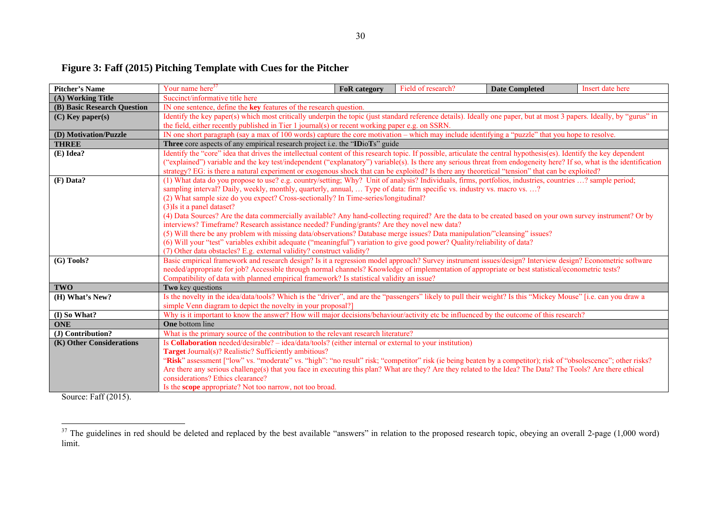## **Figure 3: Faff (2015) Pitching Template with Cues for the Pitcher**

| <b>Pitcher's Name</b>        | Your name here $37$                                                                                                                                                                                                                                     | <b>FoR</b> category | Field of research? | <b>Date Completed</b> | Insert date here |  |
|------------------------------|---------------------------------------------------------------------------------------------------------------------------------------------------------------------------------------------------------------------------------------------------------|---------------------|--------------------|-----------------------|------------------|--|
| (A) Working Title            | Succinct/informative title here                                                                                                                                                                                                                         |                     |                    |                       |                  |  |
| (B) Basic Research Ouestion  | IN one sentence, define the key features of the research question.                                                                                                                                                                                      |                     |                    |                       |                  |  |
| $(C)$ Key paper $(s)$        | Identify the key paper(s) which most critically underpin the topic (just standard reference details). Ideally one paper, but at most 3 papers. Ideally, by "gurus" in                                                                                   |                     |                    |                       |                  |  |
|                              | the field, either recently published in Tier 1 journal(s) or recent working paper e.g. on SSRN.                                                                                                                                                         |                     |                    |                       |                  |  |
| (D) Motivation/Puzzle        | IN one short paragraph (say a max of 100 words) capture the core motivation – which may include identifying a "puzzle" that you hope to resolve.                                                                                                        |                     |                    |                       |                  |  |
| <b>THREE</b>                 | Three core aspects of any empirical research project i.e. the "IDioTs" guide                                                                                                                                                                            |                     |                    |                       |                  |  |
| $(E)$ Idea?                  | Identify the "core" idea that drives the intellectual content of this research topic. If possible, articulate the central hypothesis(es). Identify the key dependent                                                                                    |                     |                    |                       |                  |  |
|                              | ("explained") variable and the key test/independent ("explanatory") variable(s). Is there any serious threat from endogeneity here? If so, what is the identification                                                                                   |                     |                    |                       |                  |  |
|                              | strategy? EG: is there a natural experiment or exogenous shock that can be exploited? Is there any theoretical "tension" that can be exploited?                                                                                                         |                     |                    |                       |                  |  |
| $(F)$ Data?                  | (1) What data do you propose to use? e.g. country/setting; Why? Unit of analysis? Individuals, firms, portfolios, industries, countries ? sample period;                                                                                                |                     |                    |                       |                  |  |
|                              | sampling interval? Daily, weekly, monthly, quarterly, annual,  Type of data: firm specific vs. industry vs. macro vs. ?                                                                                                                                 |                     |                    |                       |                  |  |
|                              | (2) What sample size do you expect? Cross-sectionally? In Time-series/longitudinal?                                                                                                                                                                     |                     |                    |                       |                  |  |
|                              | (3) Is it a panel dataset?                                                                                                                                                                                                                              |                     |                    |                       |                  |  |
|                              | (4) Data Sources? Are the data commercially available? Any hand-collecting required? Are the data to be created based on your own survey instrument? Or by                                                                                              |                     |                    |                       |                  |  |
|                              | interviews? Timeframe? Research assistance needed? Funding/grants? Are they novel new data?                                                                                                                                                             |                     |                    |                       |                  |  |
|                              | (5) Will there be any problem with missing data/observations? Database merge issues? Data manipulation/"cleansing" issues?<br>(6) Will your "test" variables exhibit adequate ("meaningful") variation to give good power? Quality/reliability of data? |                     |                    |                       |                  |  |
|                              |                                                                                                                                                                                                                                                         |                     |                    |                       |                  |  |
|                              | (7) Other data obstacles? E.g. external validity? construct validity?<br>Basic empirical framework and research design? Is it a regression model approach? Survey instrument issues/design? Interview design? Econometric software                      |                     |                    |                       |                  |  |
| $(G)$ Tools?                 |                                                                                                                                                                                                                                                         |                     |                    |                       |                  |  |
|                              | needed/appropriate for job? Accessible through normal channels? Knowledge of implementation of appropriate or best statistical/econometric tests?                                                                                                       |                     |                    |                       |                  |  |
| <b>TWO</b>                   | Compatibility of data with planned empirical framework? Is statistical validity an issue?<br><b>Two</b> key questions                                                                                                                                   |                     |                    |                       |                  |  |
| (H) What's New?              |                                                                                                                                                                                                                                                         |                     |                    |                       |                  |  |
|                              | Is the novelty in the idea/data/tools? Which is the "driver", and are the "passengers" likely to pull their weight? Is this "Mickey Mouse" [i.e. can you draw a<br>simple Venn diagram to depict the novelty in your proposal?]                         |                     |                    |                       |                  |  |
| (I) So What?                 | Why is it important to know the answer? How will major decisions/behaviour/activity etc be influenced by the outcome of this research?                                                                                                                  |                     |                    |                       |                  |  |
| <b>ONE</b>                   | <b>One</b> bottom line                                                                                                                                                                                                                                  |                     |                    |                       |                  |  |
| (J) Contribution?            | What is the primary source of the contribution to the relevant research literature?                                                                                                                                                                     |                     |                    |                       |                  |  |
| (K) Other Considerations     | Is <b>Collaboration</b> needed/desirable? – idea/data/tools? (either internal or external to your institution)                                                                                                                                          |                     |                    |                       |                  |  |
|                              | <b>Target Journal(s)? Realistic? Sufficiently ambitious?</b>                                                                                                                                                                                            |                     |                    |                       |                  |  |
|                              | "Risk" assessment ["low" vs. "moderate" vs. "high": "no result" risk; "competitor" risk (ie being beaten by a competitor); risk of "obsolescence"; other risks?                                                                                         |                     |                    |                       |                  |  |
|                              | Are there any serious challenge(s) that you face in executing this plan? What are they? Are they related to the Idea? The Data? The Tools? Are there ethical                                                                                            |                     |                    |                       |                  |  |
|                              | considerations? Ethics clearance?                                                                                                                                                                                                                       |                     |                    |                       |                  |  |
|                              | Is the scope appropriate? Not too narrow, not too broad.                                                                                                                                                                                                |                     |                    |                       |                  |  |
| $\Gamma$ CC (0.01 $\Gamma$ ) |                                                                                                                                                                                                                                                         |                     |                    |                       |                  |  |

 $37$  The guidelines in red should be deleted and replaced by the best available "answers" in relation to the proposed research topic, obeying an overall 2-page (1,000 word) limit.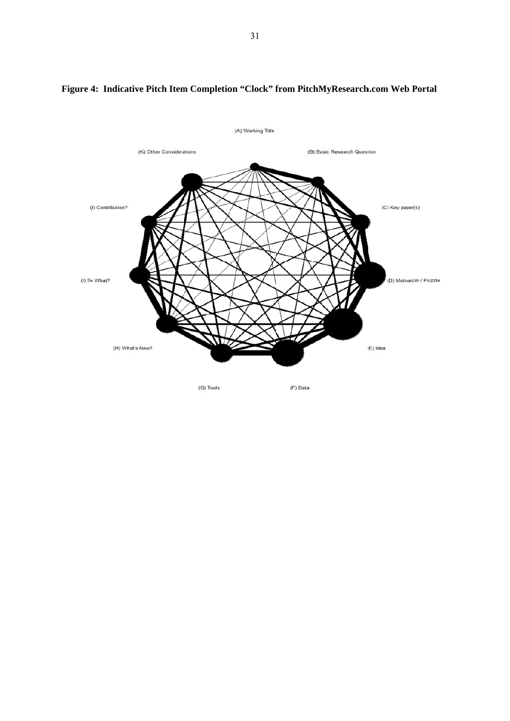

#### Figure 4: Indicative Pitch Item Completion "Clock" from PitchMyResearch.com Web Portal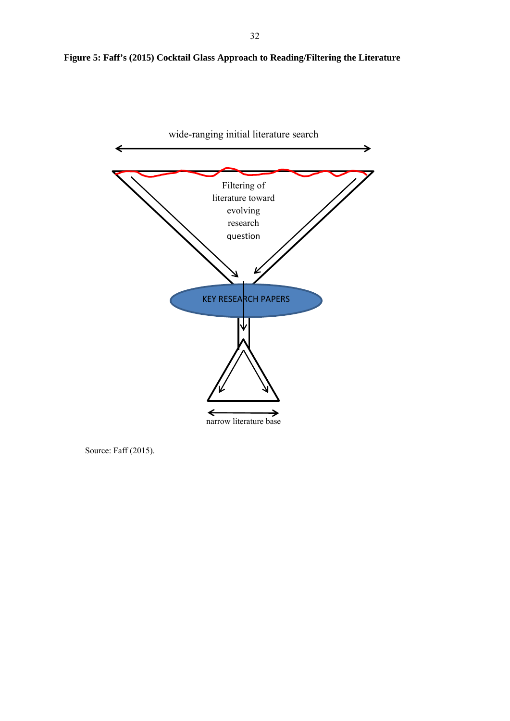**Figure 5: Faff's (2015) Cocktail Glass Approach to Reading/Filtering the Literature**